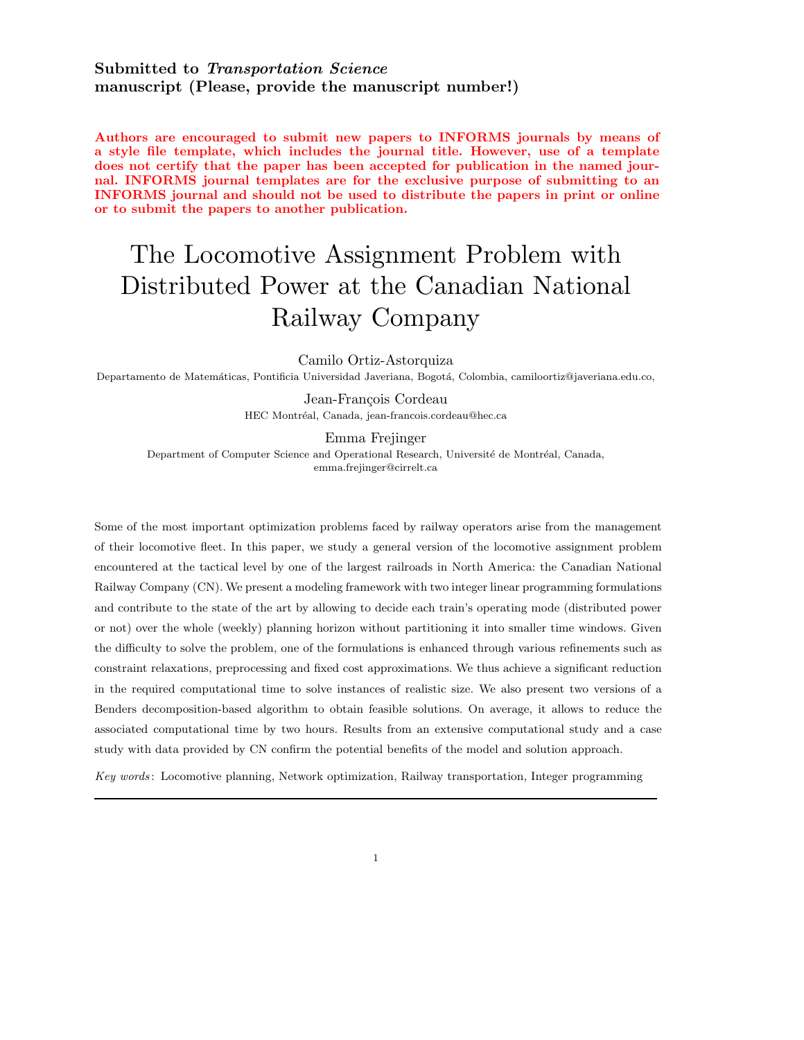# Submitted to Transportation Science manuscript (Please, provide the manuscript number!)

Authors are encouraged to submit new papers to INFORMS journals by means of a style file template, which includes the journal title. However, use of a template does not certify that the paper has been accepted for publication in the named journal. INFORMS journal templates are for the exclusive purpose of submitting to an INFORMS journal and should not be used to distribute the papers in print or online or to submit the papers to another publication.

# The Locomotive Assignment Problem with Distributed Power at the Canadian National Railway Company

Camilo Ortiz-Astorquiza

Departamento de Matemáticas, Pontificia Universidad Javeriana, Bogotá, Colombia, camiloortiz@javeriana.edu.co,

Jean-François Cordeau HEC Montréal, Canada, jean-francois.cordeau@hec.ca

Emma Frejinger Department of Computer Science and Operational Research, Université de Montréal, Canada, emma.frejinger@cirrelt.ca

Some of the most important optimization problems faced by railway operators arise from the management of their locomotive fleet. In this paper, we study a general version of the locomotive assignment problem encountered at the tactical level by one of the largest railroads in North America: the Canadian National Railway Company (CN). We present a modeling framework with two integer linear programming formulations and contribute to the state of the art by allowing to decide each train's operating mode (distributed power or not) over the whole (weekly) planning horizon without partitioning it into smaller time windows. Given the difficulty to solve the problem, one of the formulations is enhanced through various refinements such as constraint relaxations, preprocessing and fixed cost approximations. We thus achieve a significant reduction in the required computational time to solve instances of realistic size. We also present two versions of a Benders decomposition-based algorithm to obtain feasible solutions. On average, it allows to reduce the associated computational time by two hours. Results from an extensive computational study and a case study with data provided by CN confirm the potential benefits of the model and solution approach.

Key words : Locomotive planning, Network optimization, Railway transportation, Integer programming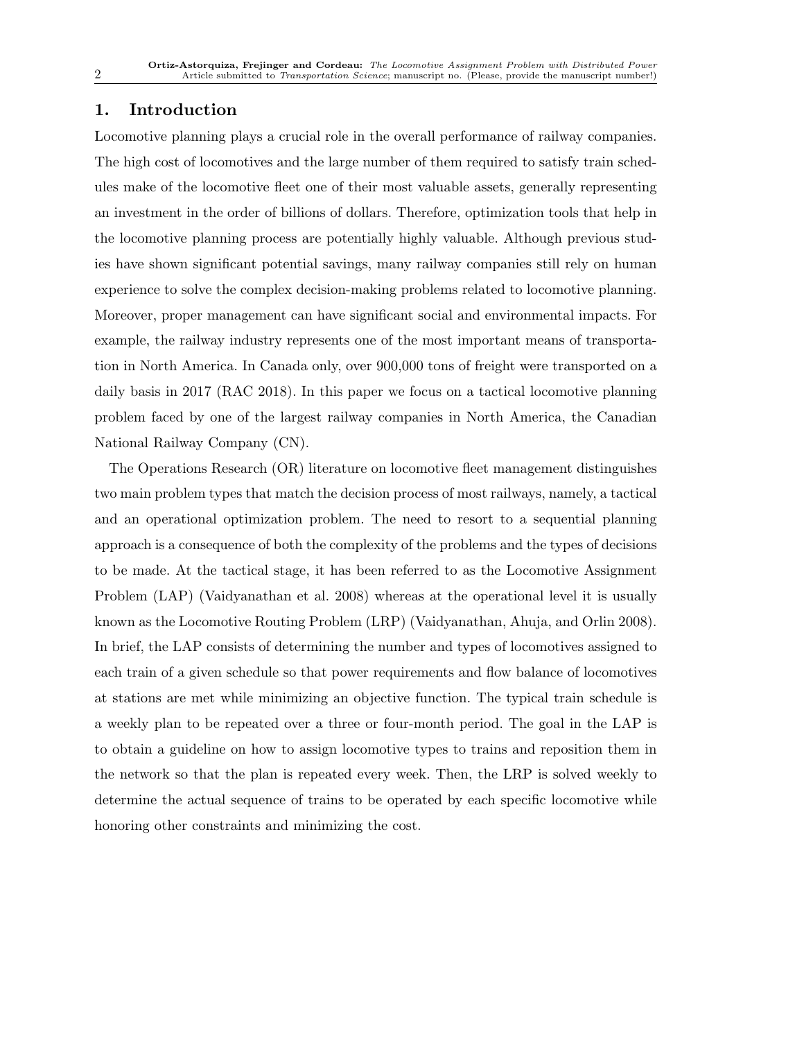# 1. Introduction

Locomotive planning plays a crucial role in the overall performance of railway companies. The high cost of locomotives and the large number of them required to satisfy train schedules make of the locomotive fleet one of their most valuable assets, generally representing an investment in the order of billions of dollars. Therefore, optimization tools that help in the locomotive planning process are potentially highly valuable. Although previous studies have shown significant potential savings, many railway companies still rely on human experience to solve the complex decision-making problems related to locomotive planning. Moreover, proper management can have significant social and environmental impacts. For example, the railway industry represents one of the most important means of transportation in North America. In Canada only, over 900,000 tons of freight were transported on a daily basis in 2017 (RAC 2018). In this paper we focus on a tactical locomotive planning problem faced by one of the largest railway companies in North America, the Canadian National Railway Company (CN).

The Operations Research (OR) literature on locomotive fleet management distinguishes two main problem types that match the decision process of most railways, namely, a tactical and an operational optimization problem. The need to resort to a sequential planning approach is a consequence of both the complexity of the problems and the types of decisions to be made. At the tactical stage, it has been referred to as the Locomotive Assignment Problem (LAP) (Vaidyanathan et al. 2008) whereas at the operational level it is usually known as the Locomotive Routing Problem (LRP) (Vaidyanathan, Ahuja, and Orlin 2008). In brief, the LAP consists of determining the number and types of locomotives assigned to each train of a given schedule so that power requirements and flow balance of locomotives at stations are met while minimizing an objective function. The typical train schedule is a weekly plan to be repeated over a three or four-month period. The goal in the LAP is to obtain a guideline on how to assign locomotive types to trains and reposition them in the network so that the plan is repeated every week. Then, the LRP is solved weekly to determine the actual sequence of trains to be operated by each specific locomotive while honoring other constraints and minimizing the cost.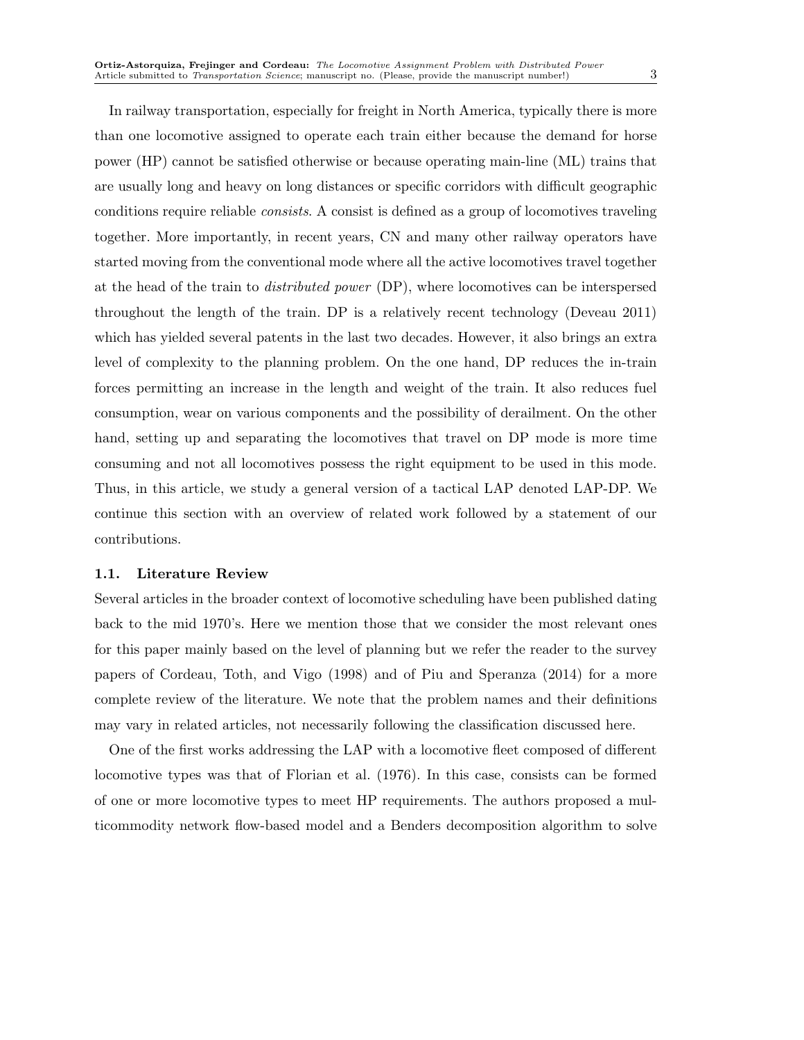In railway transportation, especially for freight in North America, typically there is more than one locomotive assigned to operate each train either because the demand for horse power (HP) cannot be satisfied otherwise or because operating main-line (ML) trains that are usually long and heavy on long distances or specific corridors with difficult geographic conditions require reliable consists. A consist is defined as a group of locomotives traveling together. More importantly, in recent years, CN and many other railway operators have started moving from the conventional mode where all the active locomotives travel together at the head of the train to distributed power (DP), where locomotives can be interspersed throughout the length of the train. DP is a relatively recent technology (Deveau 2011) which has yielded several patents in the last two decades. However, it also brings an extra level of complexity to the planning problem. On the one hand, DP reduces the in-train forces permitting an increase in the length and weight of the train. It also reduces fuel consumption, wear on various components and the possibility of derailment. On the other hand, setting up and separating the locomotives that travel on DP mode is more time consuming and not all locomotives possess the right equipment to be used in this mode. Thus, in this article, we study a general version of a tactical LAP denoted LAP-DP. We continue this section with an overview of related work followed by a statement of our contributions.

# 1.1. Literature Review

Several articles in the broader context of locomotive scheduling have been published dating back to the mid 1970's. Here we mention those that we consider the most relevant ones for this paper mainly based on the level of planning but we refer the reader to the survey papers of Cordeau, Toth, and Vigo (1998) and of Piu and Speranza (2014) for a more complete review of the literature. We note that the problem names and their definitions may vary in related articles, not necessarily following the classification discussed here.

One of the first works addressing the LAP with a locomotive fleet composed of different locomotive types was that of Florian et al. (1976). In this case, consists can be formed of one or more locomotive types to meet HP requirements. The authors proposed a multicommodity network flow-based model and a Benders decomposition algorithm to solve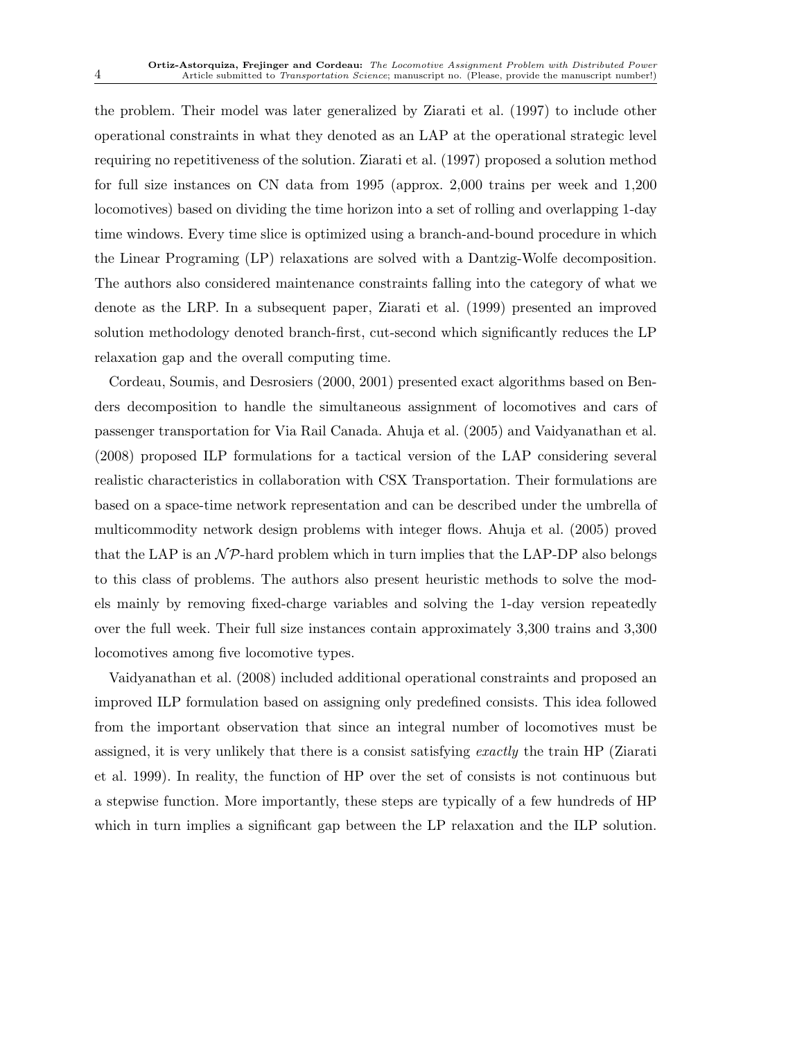the problem. Their model was later generalized by Ziarati et al. (1997) to include other operational constraints in what they denoted as an LAP at the operational strategic level requiring no repetitiveness of the solution. Ziarati et al. (1997) proposed a solution method for full size instances on CN data from 1995 (approx. 2,000 trains per week and 1,200 locomotives) based on dividing the time horizon into a set of rolling and overlapping 1-day time windows. Every time slice is optimized using a branch-and-bound procedure in which the Linear Programing (LP) relaxations are solved with a Dantzig-Wolfe decomposition. The authors also considered maintenance constraints falling into the category of what we denote as the LRP. In a subsequent paper, Ziarati et al. (1999) presented an improved solution methodology denoted branch-first, cut-second which significantly reduces the LP relaxation gap and the overall computing time.

Cordeau, Soumis, and Desrosiers (2000, 2001) presented exact algorithms based on Benders decomposition to handle the simultaneous assignment of locomotives and cars of passenger transportation for Via Rail Canada. Ahuja et al. (2005) and Vaidyanathan et al. (2008) proposed ILP formulations for a tactical version of the LAP considering several realistic characteristics in collaboration with CSX Transportation. Their formulations are based on a space-time network representation and can be described under the umbrella of multicommodity network design problems with integer flows. Ahuja et al. (2005) proved that the LAP is an  $\mathcal{NP}$ -hard problem which in turn implies that the LAP-DP also belongs to this class of problems. The authors also present heuristic methods to solve the models mainly by removing fixed-charge variables and solving the 1-day version repeatedly over the full week. Their full size instances contain approximately 3,300 trains and 3,300 locomotives among five locomotive types.

Vaidyanathan et al. (2008) included additional operational constraints and proposed an improved ILP formulation based on assigning only predefined consists. This idea followed from the important observation that since an integral number of locomotives must be assigned, it is very unlikely that there is a consist satisfying exactly the train HP (Ziarati et al. 1999). In reality, the function of HP over the set of consists is not continuous but a stepwise function. More importantly, these steps are typically of a few hundreds of HP which in turn implies a significant gap between the LP relaxation and the ILP solution.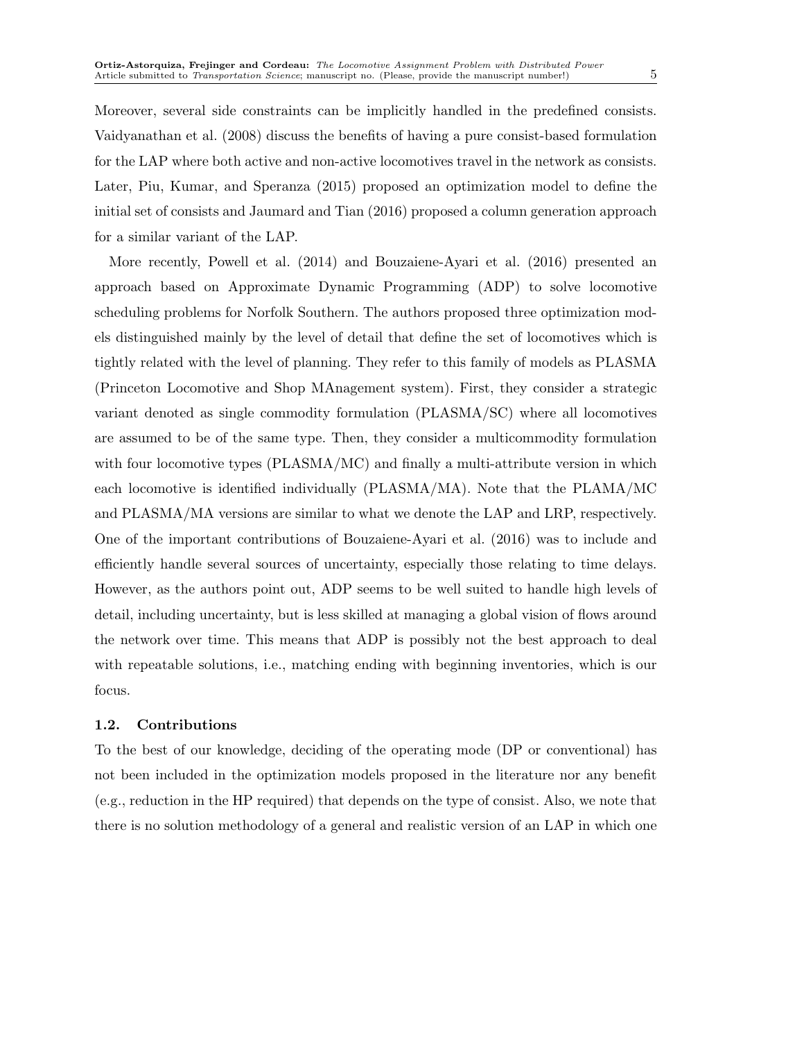Moreover, several side constraints can be implicitly handled in the predefined consists. Vaidyanathan et al. (2008) discuss the benefits of having a pure consist-based formulation for the LAP where both active and non-active locomotives travel in the network as consists. Later, Piu, Kumar, and Speranza (2015) proposed an optimization model to define the initial set of consists and Jaumard and Tian (2016) proposed a column generation approach for a similar variant of the LAP.

More recently, Powell et al. (2014) and Bouzaiene-Ayari et al. (2016) presented an approach based on Approximate Dynamic Programming (ADP) to solve locomotive scheduling problems for Norfolk Southern. The authors proposed three optimization models distinguished mainly by the level of detail that define the set of locomotives which is tightly related with the level of planning. They refer to this family of models as PLASMA (Princeton Locomotive and Shop MAnagement system). First, they consider a strategic variant denoted as single commodity formulation (PLASMA/SC) where all locomotives are assumed to be of the same type. Then, they consider a multicommodity formulation with four locomotive types (PLASMA/MC) and finally a multi-attribute version in which each locomotive is identified individually (PLASMA/MA). Note that the PLAMA/MC and PLASMA/MA versions are similar to what we denote the LAP and LRP, respectively. One of the important contributions of Bouzaiene-Ayari et al. (2016) was to include and efficiently handle several sources of uncertainty, especially those relating to time delays. However, as the authors point out, ADP seems to be well suited to handle high levels of detail, including uncertainty, but is less skilled at managing a global vision of flows around the network over time. This means that ADP is possibly not the best approach to deal with repeatable solutions, i.e., matching ending with beginning inventories, which is our focus.

## 1.2. Contributions

To the best of our knowledge, deciding of the operating mode (DP or conventional) has not been included in the optimization models proposed in the literature nor any benefit (e.g., reduction in the HP required) that depends on the type of consist. Also, we note that there is no solution methodology of a general and realistic version of an LAP in which one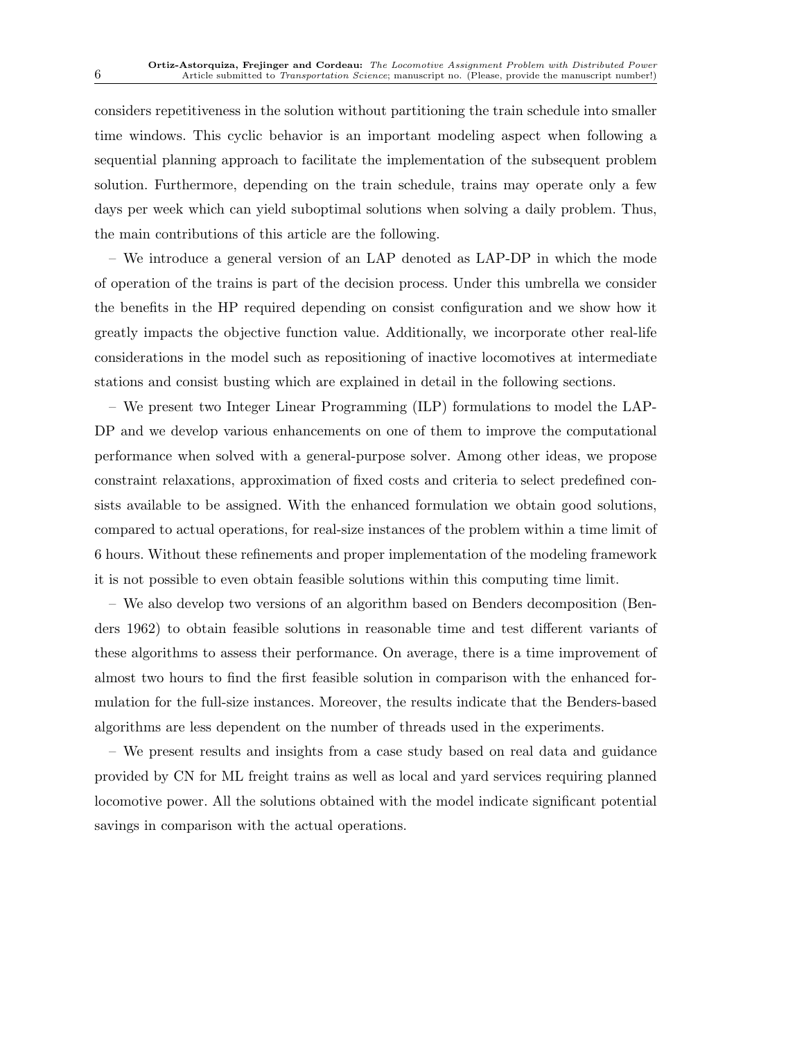considers repetitiveness in the solution without partitioning the train schedule into smaller time windows. This cyclic behavior is an important modeling aspect when following a sequential planning approach to facilitate the implementation of the subsequent problem solution. Furthermore, depending on the train schedule, trains may operate only a few days per week which can yield suboptimal solutions when solving a daily problem. Thus, the main contributions of this article are the following.

– We introduce a general version of an LAP denoted as LAP-DP in which the mode of operation of the trains is part of the decision process. Under this umbrella we consider the benefits in the HP required depending on consist configuration and we show how it greatly impacts the objective function value. Additionally, we incorporate other real-life considerations in the model such as repositioning of inactive locomotives at intermediate stations and consist busting which are explained in detail in the following sections.

– We present two Integer Linear Programming (ILP) formulations to model the LAP-DP and we develop various enhancements on one of them to improve the computational performance when solved with a general-purpose solver. Among other ideas, we propose constraint relaxations, approximation of fixed costs and criteria to select predefined consists available to be assigned. With the enhanced formulation we obtain good solutions, compared to actual operations, for real-size instances of the problem within a time limit of 6 hours. Without these refinements and proper implementation of the modeling framework it is not possible to even obtain feasible solutions within this computing time limit.

– We also develop two versions of an algorithm based on Benders decomposition (Benders 1962) to obtain feasible solutions in reasonable time and test different variants of these algorithms to assess their performance. On average, there is a time improvement of almost two hours to find the first feasible solution in comparison with the enhanced formulation for the full-size instances. Moreover, the results indicate that the Benders-based algorithms are less dependent on the number of threads used in the experiments.

– We present results and insights from a case study based on real data and guidance provided by CN for ML freight trains as well as local and yard services requiring planned locomotive power. All the solutions obtained with the model indicate significant potential savings in comparison with the actual operations.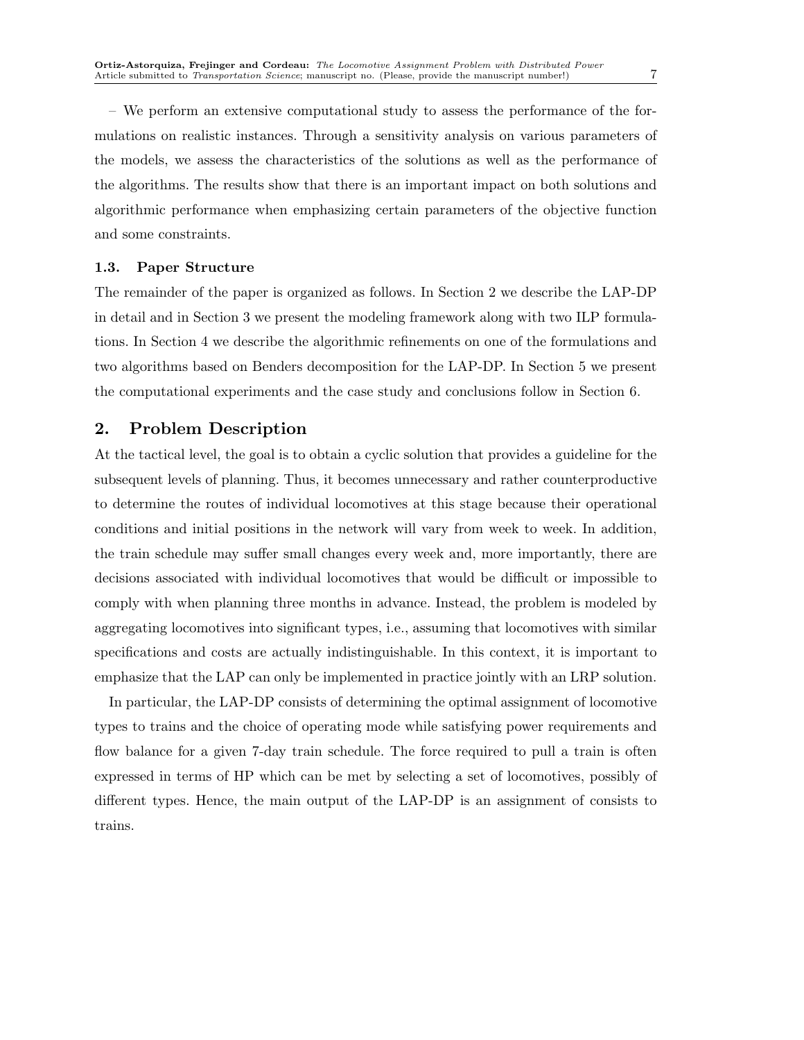– We perform an extensive computational study to assess the performance of the formulations on realistic instances. Through a sensitivity analysis on various parameters of the models, we assess the characteristics of the solutions as well as the performance of the algorithms. The results show that there is an important impact on both solutions and algorithmic performance when emphasizing certain parameters of the objective function and some constraints.

# 1.3. Paper Structure

The remainder of the paper is organized as follows. In Section 2 we describe the LAP-DP in detail and in Section 3 we present the modeling framework along with two ILP formulations. In Section 4 we describe the algorithmic refinements on one of the formulations and two algorithms based on Benders decomposition for the LAP-DP. In Section 5 we present the computational experiments and the case study and conclusions follow in Section 6.

# 2. Problem Description

At the tactical level, the goal is to obtain a cyclic solution that provides a guideline for the subsequent levels of planning. Thus, it becomes unnecessary and rather counterproductive to determine the routes of individual locomotives at this stage because their operational conditions and initial positions in the network will vary from week to week. In addition, the train schedule may suffer small changes every week and, more importantly, there are decisions associated with individual locomotives that would be difficult or impossible to comply with when planning three months in advance. Instead, the problem is modeled by aggregating locomotives into significant types, i.e., assuming that locomotives with similar specifications and costs are actually indistinguishable. In this context, it is important to emphasize that the LAP can only be implemented in practice jointly with an LRP solution.

In particular, the LAP-DP consists of determining the optimal assignment of locomotive types to trains and the choice of operating mode while satisfying power requirements and flow balance for a given 7-day train schedule. The force required to pull a train is often expressed in terms of HP which can be met by selecting a set of locomotives, possibly of different types. Hence, the main output of the LAP-DP is an assignment of consists to trains.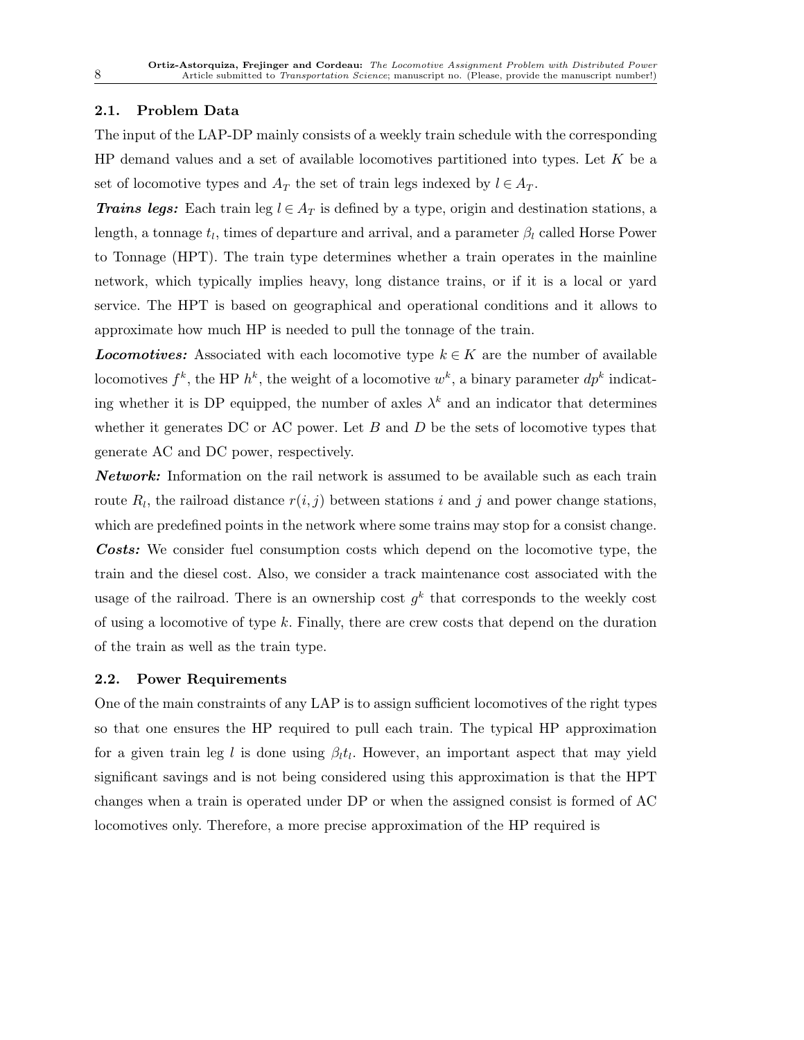# 2.1. Problem Data

The input of the LAP-DP mainly consists of a weekly train schedule with the corresponding  $HP$  demand values and a set of available locomotives partitioned into types. Let K be a set of locomotive types and  $A_T$  the set of train legs indexed by  $l \in A_T$ .

**Trains legs:** Each train leg  $l \in A_T$  is defined by a type, origin and destination stations, a length, a tonnage  $t_l$ , times of departure and arrival, and a parameter  $\beta_l$  called Horse Power to Tonnage (HPT). The train type determines whether a train operates in the mainline network, which typically implies heavy, long distance trains, or if it is a local or yard service. The HPT is based on geographical and operational conditions and it allows to approximate how much HP is needed to pull the tonnage of the train.

**Locomotives:** Associated with each locomotive type  $k \in K$  are the number of available locomotives  $f^k$ , the HP  $h^k$ , the weight of a locomotive  $w^k$ , a binary parameter  $dp^k$  indicating whether it is DP equipped, the number of axles  $\lambda^k$  and an indicator that determines whether it generates DC or AC power. Let  $B$  and  $D$  be the sets of locomotive types that generate AC and DC power, respectively.

Network: Information on the rail network is assumed to be available such as each train route  $R_l$ , the railroad distance  $r(i, j)$  between stations i and j and power change stations, which are predefined points in the network where some trains may stop for a consist change. **Costs:** We consider fuel consumption costs which depend on the locomotive type, the train and the diesel cost. Also, we consider a track maintenance cost associated with the usage of the railroad. There is an ownership cost  $g^k$  that corresponds to the weekly cost of using a locomotive of type  $k$ . Finally, there are crew costs that depend on the duration of the train as well as the train type.

## 2.2. Power Requirements

One of the main constraints of any LAP is to assign sufficient locomotives of the right types so that one ensures the HP required to pull each train. The typical HP approximation for a given train leg l is done using  $\beta_l t_l$ . However, an important aspect that may yield significant savings and is not being considered using this approximation is that the HPT changes when a train is operated under DP or when the assigned consist is formed of AC locomotives only. Therefore, a more precise approximation of the HP required is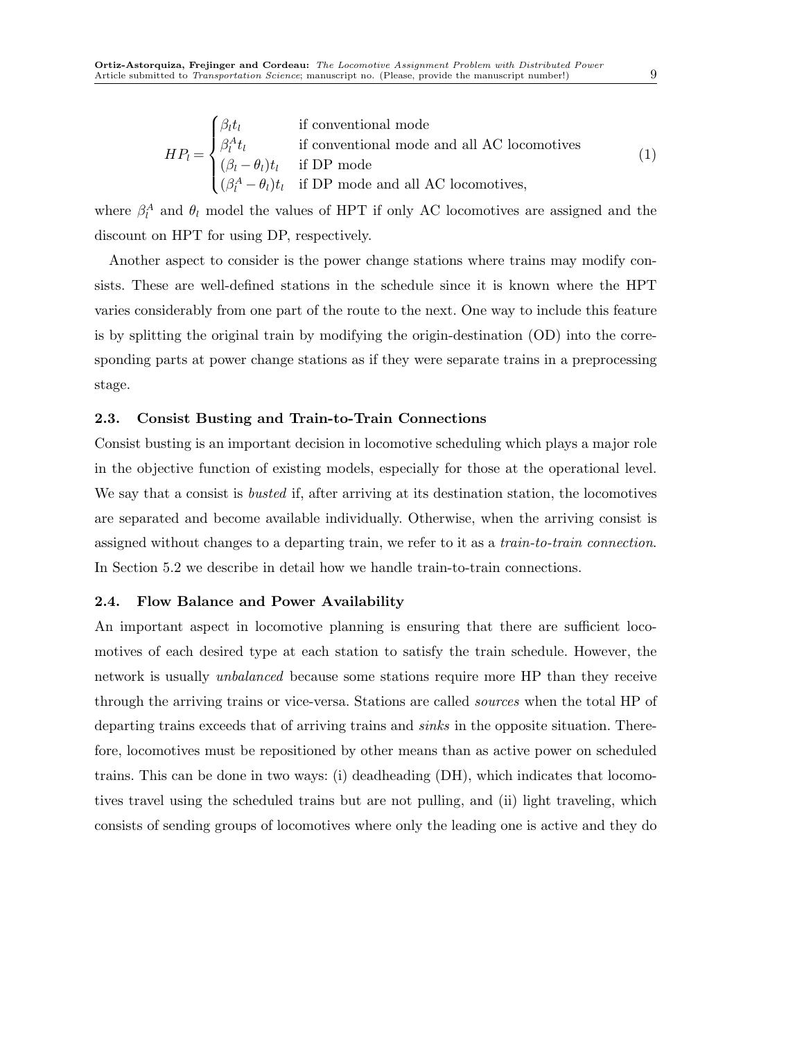$$
HP_l = \begin{cases} \beta_l t_l & \text{if conventional mode} \\ \beta_l^A t_l & \text{if conventional mode and all AC locomotives} \\ (\beta_l - \theta_l) t_l & \text{if DP mode} \\ (\beta_l^A - \theta_l) t_l & \text{if DP mode and all AC locomotives,} \end{cases}
$$
(1)

where  $\beta_l^A$  and  $\theta_l$  model the values of HPT if only AC locomotives are assigned and the discount on HPT for using DP, respectively.

Another aspect to consider is the power change stations where trains may modify consists. These are well-defined stations in the schedule since it is known where the HPT varies considerably from one part of the route to the next. One way to include this feature is by splitting the original train by modifying the origin-destination (OD) into the corresponding parts at power change stations as if they were separate trains in a preprocessing stage.

# 2.3. Consist Busting and Train-to-Train Connections

Consist busting is an important decision in locomotive scheduling which plays a major role in the objective function of existing models, especially for those at the operational level. We say that a consist is *busted* if, after arriving at its destination station, the locomotives are separated and become available individually. Otherwise, when the arriving consist is assigned without changes to a departing train, we refer to it as a train-to-train connection. In Section 5.2 we describe in detail how we handle train-to-train connections.

## 2.4. Flow Balance and Power Availability

An important aspect in locomotive planning is ensuring that there are sufficient locomotives of each desired type at each station to satisfy the train schedule. However, the network is usually unbalanced because some stations require more HP than they receive through the arriving trains or vice-versa. Stations are called sources when the total HP of departing trains exceeds that of arriving trains and sinks in the opposite situation. Therefore, locomotives must be repositioned by other means than as active power on scheduled trains. This can be done in two ways: (i) deadheading (DH), which indicates that locomotives travel using the scheduled trains but are not pulling, and (ii) light traveling, which consists of sending groups of locomotives where only the leading one is active and they do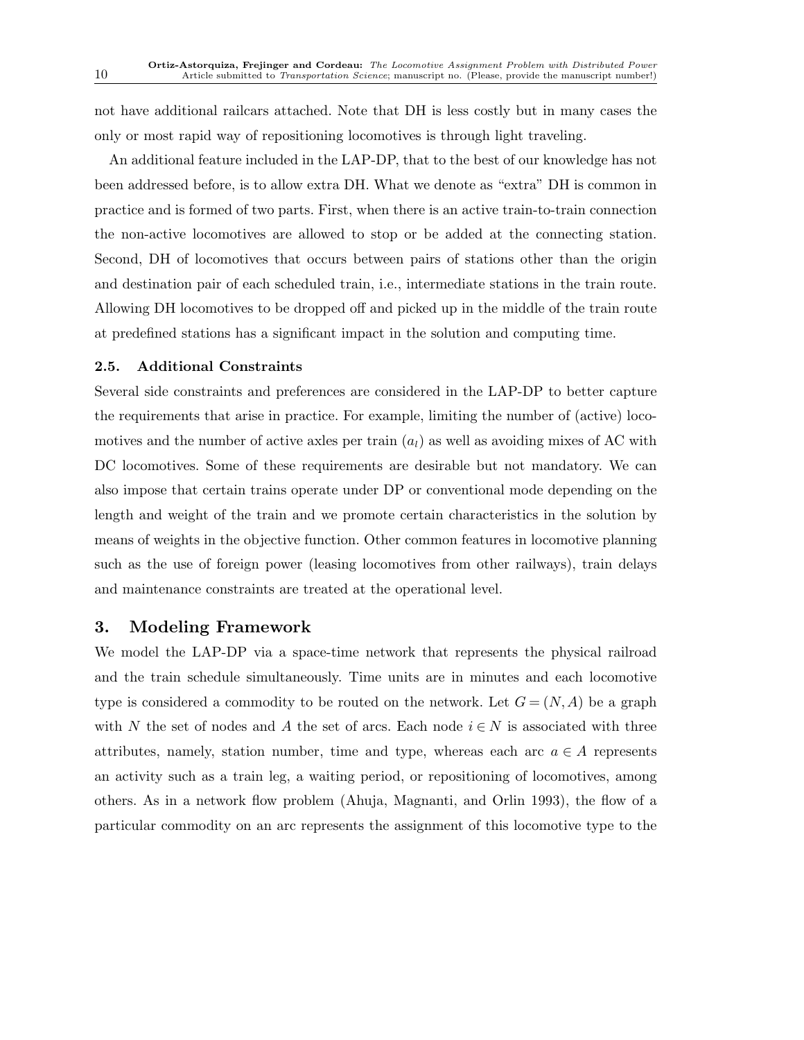not have additional railcars attached. Note that DH is less costly but in many cases the only or most rapid way of repositioning locomotives is through light traveling.

An additional feature included in the LAP-DP, that to the best of our knowledge has not been addressed before, is to allow extra DH. What we denote as "extra" DH is common in practice and is formed of two parts. First, when there is an active train-to-train connection the non-active locomotives are allowed to stop or be added at the connecting station. Second, DH of locomotives that occurs between pairs of stations other than the origin and destination pair of each scheduled train, i.e., intermediate stations in the train route. Allowing DH locomotives to be dropped off and picked up in the middle of the train route at predefined stations has a significant impact in the solution and computing time.

# 2.5. Additional Constraints

Several side constraints and preferences are considered in the LAP-DP to better capture the requirements that arise in practice. For example, limiting the number of (active) locomotives and the number of active axles per train  $(a<sub>l</sub>)$  as well as avoiding mixes of AC with DC locomotives. Some of these requirements are desirable but not mandatory. We can also impose that certain trains operate under DP or conventional mode depending on the length and weight of the train and we promote certain characteristics in the solution by means of weights in the objective function. Other common features in locomotive planning such as the use of foreign power (leasing locomotives from other railways), train delays and maintenance constraints are treated at the operational level.

# 3. Modeling Framework

We model the LAP-DP via a space-time network that represents the physical railroad and the train schedule simultaneously. Time units are in minutes and each locomotive type is considered a commodity to be routed on the network. Let  $G = (N, A)$  be a graph with N the set of nodes and A the set of arcs. Each node  $i \in N$  is associated with three attributes, namely, station number, time and type, whereas each arc  $a \in A$  represents an activity such as a train leg, a waiting period, or repositioning of locomotives, among others. As in a network flow problem (Ahuja, Magnanti, and Orlin 1993), the flow of a particular commodity on an arc represents the assignment of this locomotive type to the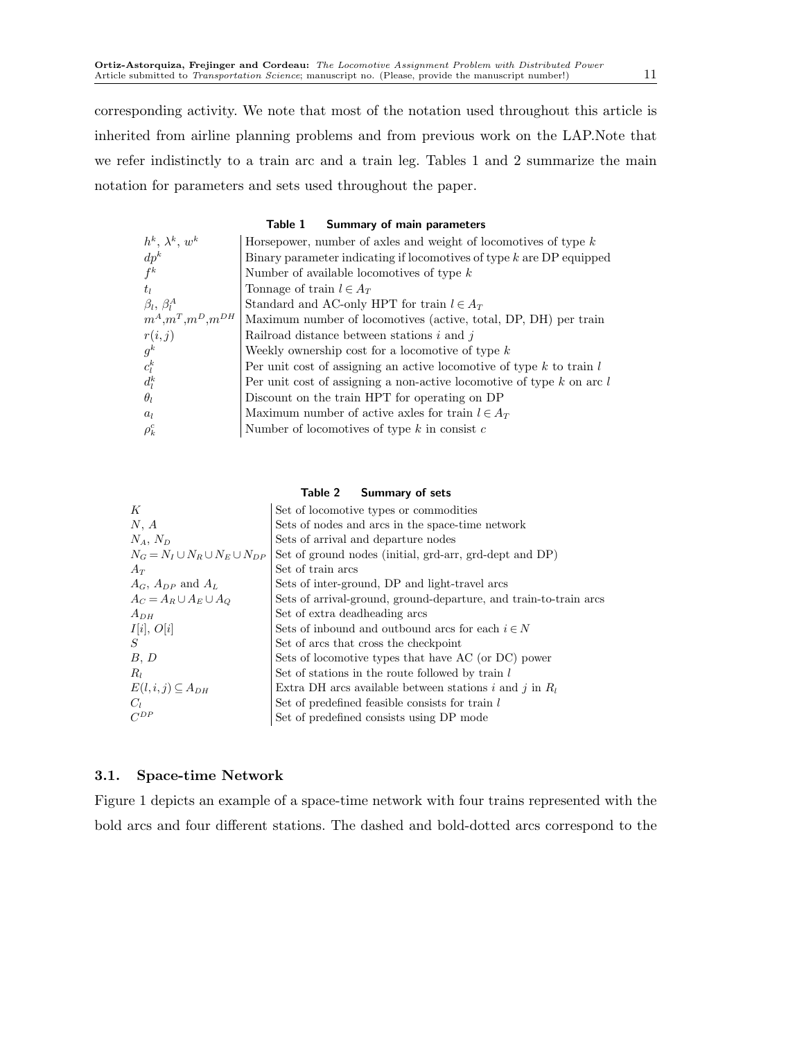corresponding activity. We note that most of the notation used throughout this article is inherited from airline planning problems and from previous work on the LAP.Note that we refer indistinctly to a train arc and a train leg. Tables 1 and 2 summarize the main notation for parameters and sets used throughout the paper.

#### Table 1 Summary of main parameters

| $h^k$ , $\lambda^k$ , $w^k$ | Horsepower, number of axles and weight of locomotives of type $k$         |
|-----------------------------|---------------------------------------------------------------------------|
| $dp^k$                      | Binary parameter indicating if locomotives of type $k$ are DP equipped    |
| $f^k$                       | Number of available locomotives of type $k$                               |
| $t_I$                       | Tonnage of train $l \in A_T$                                              |
| $\beta_l, \beta_l^A$        | Standard and AC-only HPT for train $l \in A_T$                            |
| $m^A,m^T,m^D,m^{DH}$        | Maximum number of locomotives (active, total, DP, DH) per train           |
| r(i, j)                     | Railroad distance between stations $i$ and $j$                            |
| $g^k$                       | Weekly ownership cost for a locomotive of type $k$                        |
| $c_l^k$                     | Per unit cost of assigning an active locomotive of type $k$ to train $l$  |
| $d_l^k$                     | Per unit cost of assigning a non-active locomotive of type $k$ on arc $l$ |
| $\theta_l$                  | Discount on the train HPT for operating on DP                             |
| a <sub>l</sub>              | Maximum number of active axles for train $l \in A_T$                      |
| $\rho_k^c$                  | Number of locomotives of type $k$ in consist $c$                          |

## Table 2 Summary of sets

| К                                         | Set of locomotive types or commodities                            |
|-------------------------------------------|-------------------------------------------------------------------|
| N, A                                      | Sets of nodes and arcs in the space-time network                  |
| $N_A, N_D$                                | Sets of arrival and departure nodes                               |
| $N_G = N_I \cup N_B \cup N_E \cup N_{DP}$ | Set of ground nodes (initial, grd-arr, grd-dept and DP)           |
| $A_T$                                     | Set of train arcs                                                 |
| $A_G$ , $A_{DP}$ and $A_L$                | Sets of inter-ground, DP and light-travel arcs                    |
| $A_C = A_R \cup A_E \cup A_O$             | Sets of arrival-ground, ground-departure, and train-to-train arcs |
| $A_{DH}$                                  | Set of extra deadheading arcs                                     |
| I[i], O[i]                                | Sets of inbound and outbound arcs for each $i \in N$              |
| S                                         | Set of arcs that cross the checkpoint                             |
| B, D                                      | Sets of locomotive types that have AC (or DC) power               |
| $R_l$                                     | Set of stations in the route followed by train l                  |
| $E(l, i, j) \subseteq A_{DH}$             | Extra DH arcs available between stations i and j in $R_l$         |
| $C_1$                                     | Set of predefined feasible consists for train l                   |
| $C^{DP}$                                  | Set of predefined consists using DP mode                          |

# 3.1. Space-time Network

Figure 1 depicts an example of a space-time network with four trains represented with the bold arcs and four different stations. The dashed and bold-dotted arcs correspond to the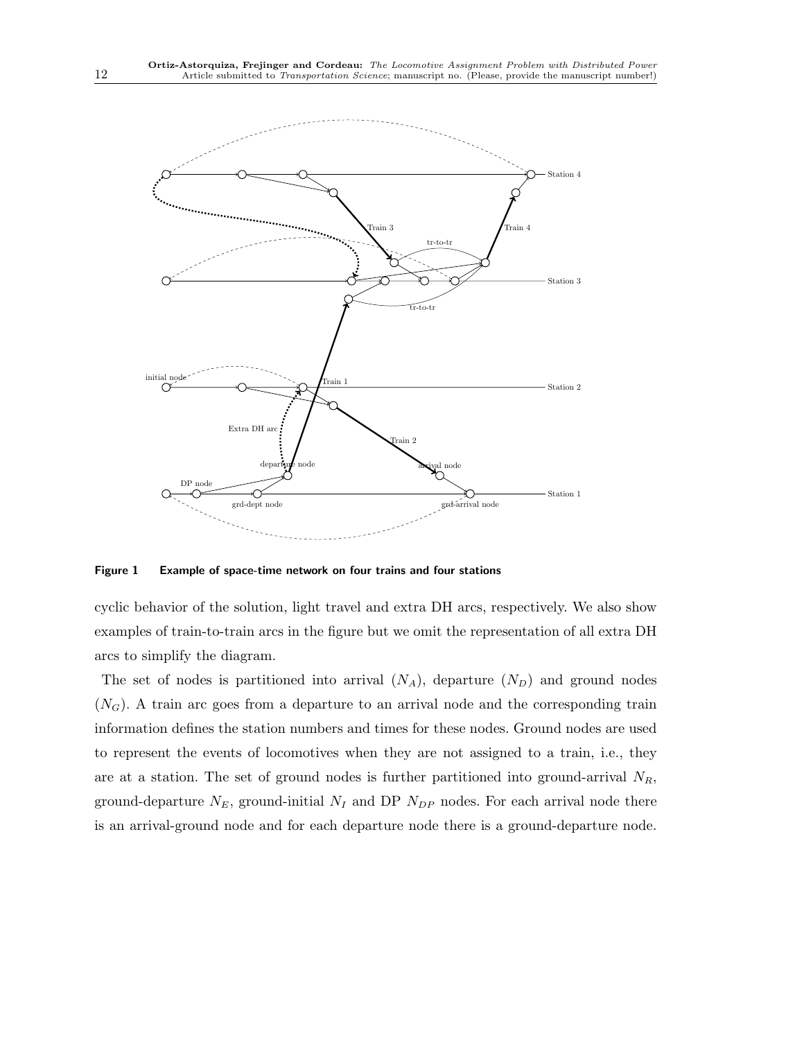

Figure 1 Example of space-time network on four trains and four stations

cyclic behavior of the solution, light travel and extra DH arcs, respectively. We also show examples of train-to-train arcs in the figure but we omit the representation of all extra DH arcs to simplify the diagram.

The set of nodes is partitioned into arrival  $(N_A)$ , departure  $(N_D)$  and ground nodes  $(N_G)$ . A train arc goes from a departure to an arrival node and the corresponding train information defines the station numbers and times for these nodes. Ground nodes are used to represent the events of locomotives when they are not assigned to a train, i.e., they are at a station. The set of ground nodes is further partitioned into ground-arrival  $N_R$ , ground-departure  $N_E$ , ground-initial  $N_I$  and DP  $N_{DP}$  nodes. For each arrival node there is an arrival-ground node and for each departure node there is a ground-departure node.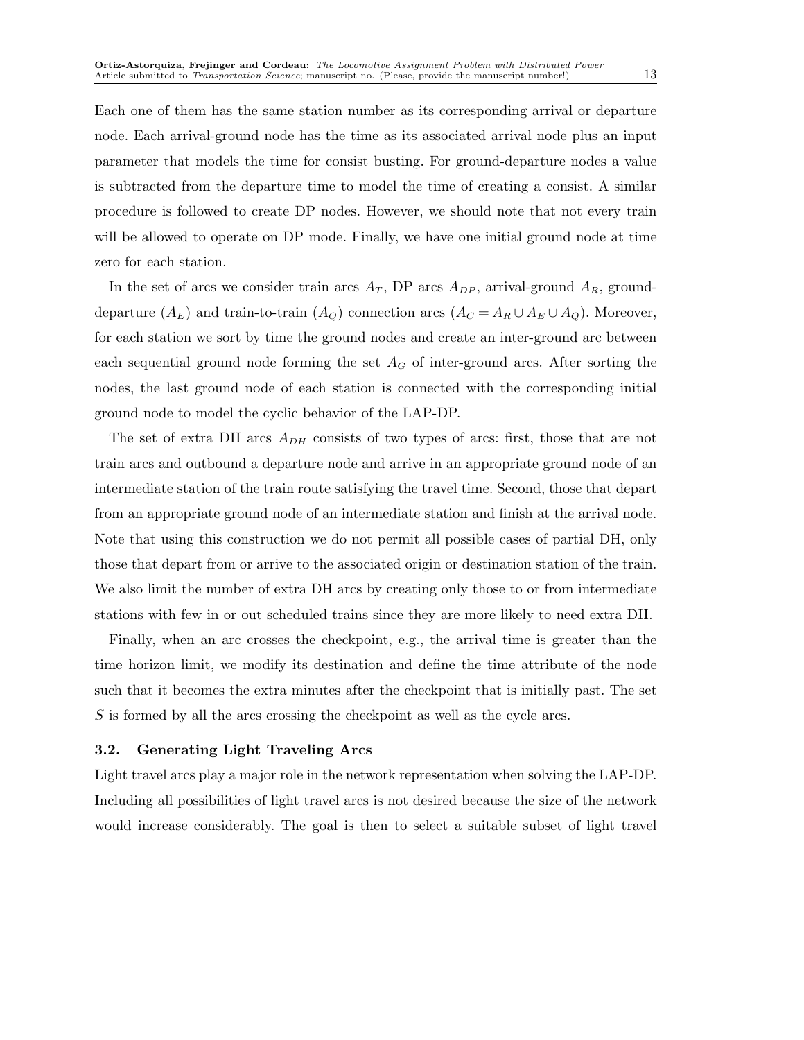Each one of them has the same station number as its corresponding arrival or departure node. Each arrival-ground node has the time as its associated arrival node plus an input parameter that models the time for consist busting. For ground-departure nodes a value is subtracted from the departure time to model the time of creating a consist. A similar procedure is followed to create DP nodes. However, we should note that not every train will be allowed to operate on DP mode. Finally, we have one initial ground node at time zero for each station.

In the set of arcs we consider train arcs  $A_T$ , DP arcs  $A_{DP}$ , arrival-ground  $A_R$ , grounddeparture  $(A_E)$  and train-to-train  $(A_Q)$  connection arcs  $(A_C = A_R \cup A_E \cup A_Q)$ . Moreover, for each station we sort by time the ground nodes and create an inter-ground arc between each sequential ground node forming the set  $A_G$  of inter-ground arcs. After sorting the nodes, the last ground node of each station is connected with the corresponding initial ground node to model the cyclic behavior of the LAP-DP.

The set of extra DH arcs  $A_{DH}$  consists of two types of arcs: first, those that are not train arcs and outbound a departure node and arrive in an appropriate ground node of an intermediate station of the train route satisfying the travel time. Second, those that depart from an appropriate ground node of an intermediate station and finish at the arrival node. Note that using this construction we do not permit all possible cases of partial DH, only those that depart from or arrive to the associated origin or destination station of the train. We also limit the number of extra DH arcs by creating only those to or from intermediate stations with few in or out scheduled trains since they are more likely to need extra DH.

Finally, when an arc crosses the checkpoint, e.g., the arrival time is greater than the time horizon limit, we modify its destination and define the time attribute of the node such that it becomes the extra minutes after the checkpoint that is initially past. The set S is formed by all the arcs crossing the checkpoint as well as the cycle arcs.

## 3.2. Generating Light Traveling Arcs

Light travel arcs play a major role in the network representation when solving the LAP-DP. Including all possibilities of light travel arcs is not desired because the size of the network would increase considerably. The goal is then to select a suitable subset of light travel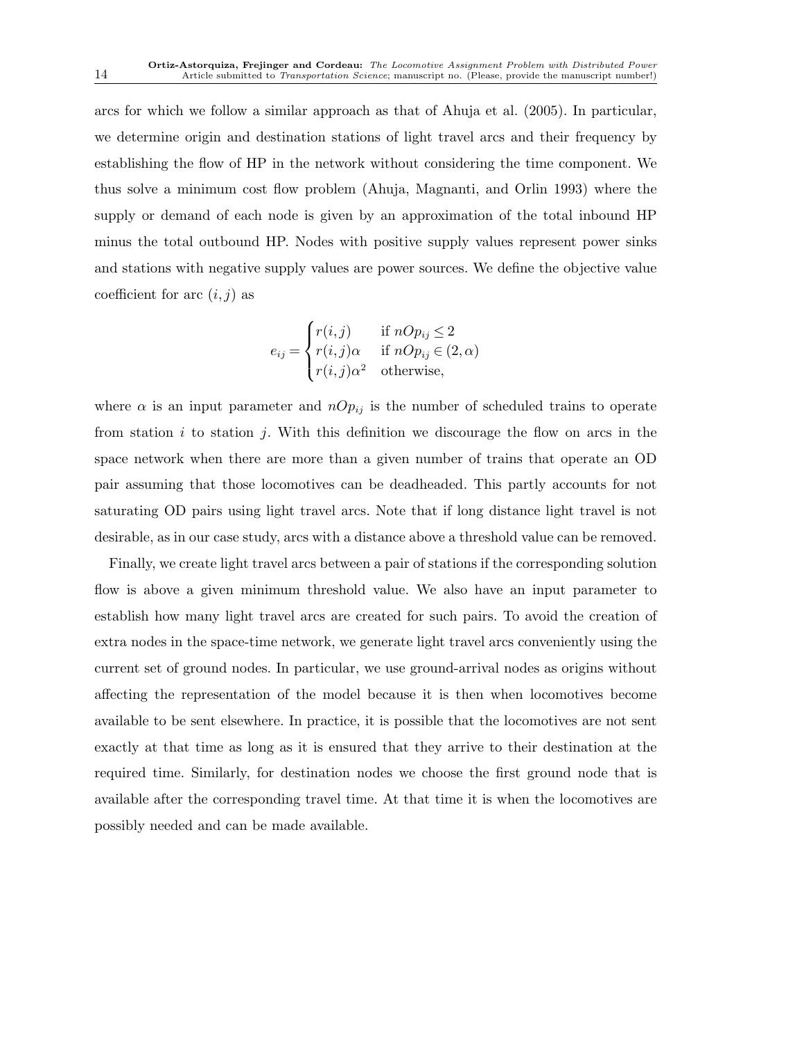arcs for which we follow a similar approach as that of Ahuja et al. (2005). In particular, we determine origin and destination stations of light travel arcs and their frequency by establishing the flow of HP in the network without considering the time component. We thus solve a minimum cost flow problem (Ahuja, Magnanti, and Orlin 1993) where the supply or demand of each node is given by an approximation of the total inbound HP minus the total outbound HP. Nodes with positive supply values represent power sinks and stations with negative supply values are power sources. We define the objective value coefficient for arc  $(i, j)$  as

$$
e_{ij} = \begin{cases} r(i,j) & \text{if } nOp_{ij} \le 2\\ r(i,j)\alpha & \text{if } nOp_{ij} \in (2,\alpha)\\ r(i,j)\alpha^2 & \text{otherwise,} \end{cases}
$$

where  $\alpha$  is an input parameter and  $nOp_{ij}$  is the number of scheduled trains to operate from station  $i$  to station  $j$ . With this definition we discourage the flow on arcs in the space network when there are more than a given number of trains that operate an OD pair assuming that those locomotives can be deadheaded. This partly accounts for not saturating OD pairs using light travel arcs. Note that if long distance light travel is not desirable, as in our case study, arcs with a distance above a threshold value can be removed.

Finally, we create light travel arcs between a pair of stations if the corresponding solution flow is above a given minimum threshold value. We also have an input parameter to establish how many light travel arcs are created for such pairs. To avoid the creation of extra nodes in the space-time network, we generate light travel arcs conveniently using the current set of ground nodes. In particular, we use ground-arrival nodes as origins without affecting the representation of the model because it is then when locomotives become available to be sent elsewhere. In practice, it is possible that the locomotives are not sent exactly at that time as long as it is ensured that they arrive to their destination at the required time. Similarly, for destination nodes we choose the first ground node that is available after the corresponding travel time. At that time it is when the locomotives are possibly needed and can be made available.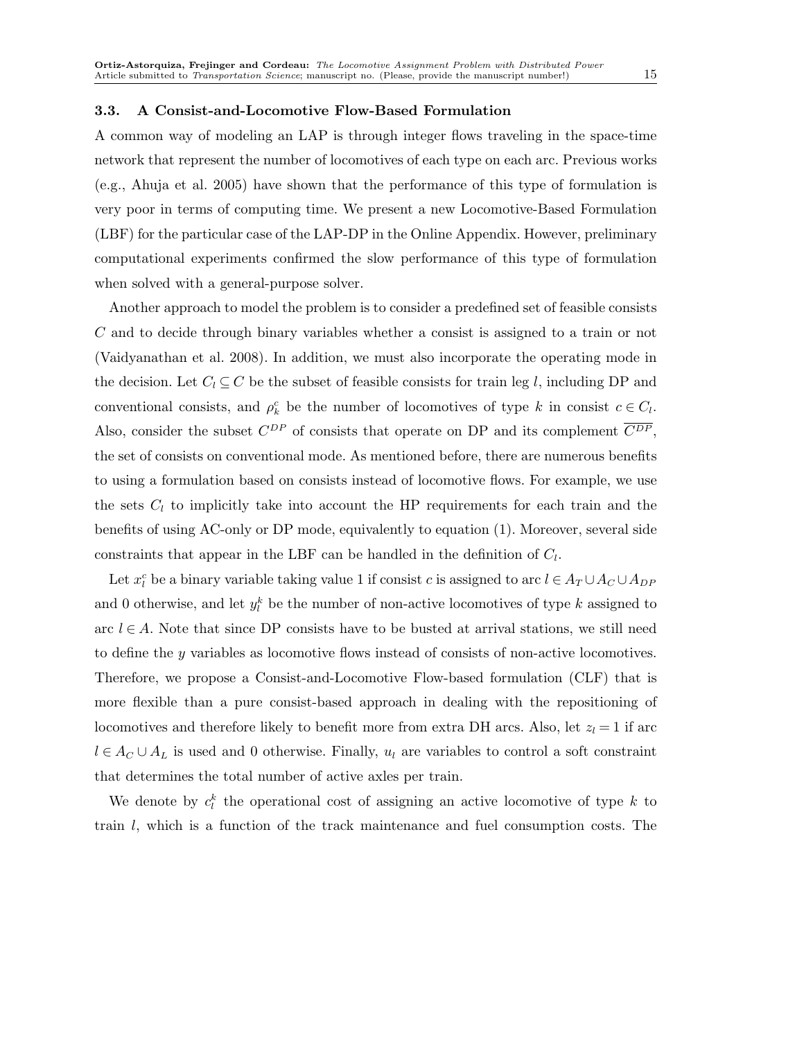#### 3.3. A Consist-and-Locomotive Flow-Based Formulation

A common way of modeling an LAP is through integer flows traveling in the space-time network that represent the number of locomotives of each type on each arc. Previous works (e.g., Ahuja et al. 2005) have shown that the performance of this type of formulation is very poor in terms of computing time. We present a new Locomotive-Based Formulation (LBF) for the particular case of the LAP-DP in the Online Appendix. However, preliminary computational experiments confirmed the slow performance of this type of formulation when solved with a general-purpose solver.

Another approach to model the problem is to consider a predefined set of feasible consists C and to decide through binary variables whether a consist is assigned to a train or not (Vaidyanathan et al. 2008). In addition, we must also incorporate the operating mode in the decision. Let  $C_l \subseteq C$  be the subset of feasible consists for train leg l, including DP and conventional consists, and  $\rho_k^c$  be the number of locomotives of type k in consist  $c \in C_l$ . Also, consider the subset  $C^{DP}$  of consists that operate on DP and its complement  $\overline{C^{DP}}$ , the set of consists on conventional mode. As mentioned before, there are numerous benefits to using a formulation based on consists instead of locomotive flows. For example, we use the sets  $C_l$  to implicitly take into account the HP requirements for each train and the benefits of using AC-only or DP mode, equivalently to equation (1). Moreover, several side constraints that appear in the LBF can be handled in the definition of  $C_l$ .

Let  $x_l^c$  be a binary variable taking value 1 if consist c is assigned to arc  $l \in A_T \cup A_C \cup A_{DP}$ and 0 otherwise, and let  $y_l^k$  be the number of non-active locomotives of type k assigned to arc  $l \in A$ . Note that since DP consists have to be busted at arrival stations, we still need to define the y variables as locomotive flows instead of consists of non-active locomotives. Therefore, we propose a Consist-and-Locomotive Flow-based formulation (CLF) that is more flexible than a pure consist-based approach in dealing with the repositioning of locomotives and therefore likely to benefit more from extra DH arcs. Also, let  $z_l = 1$  if arc  $l \in A_C \cup A_L$  is used and 0 otherwise. Finally,  $u_l$  are variables to control a soft constraint that determines the total number of active axles per train.

We denote by  $c_i^k$  the operational cost of assigning an active locomotive of type k to train l, which is a function of the track maintenance and fuel consumption costs. The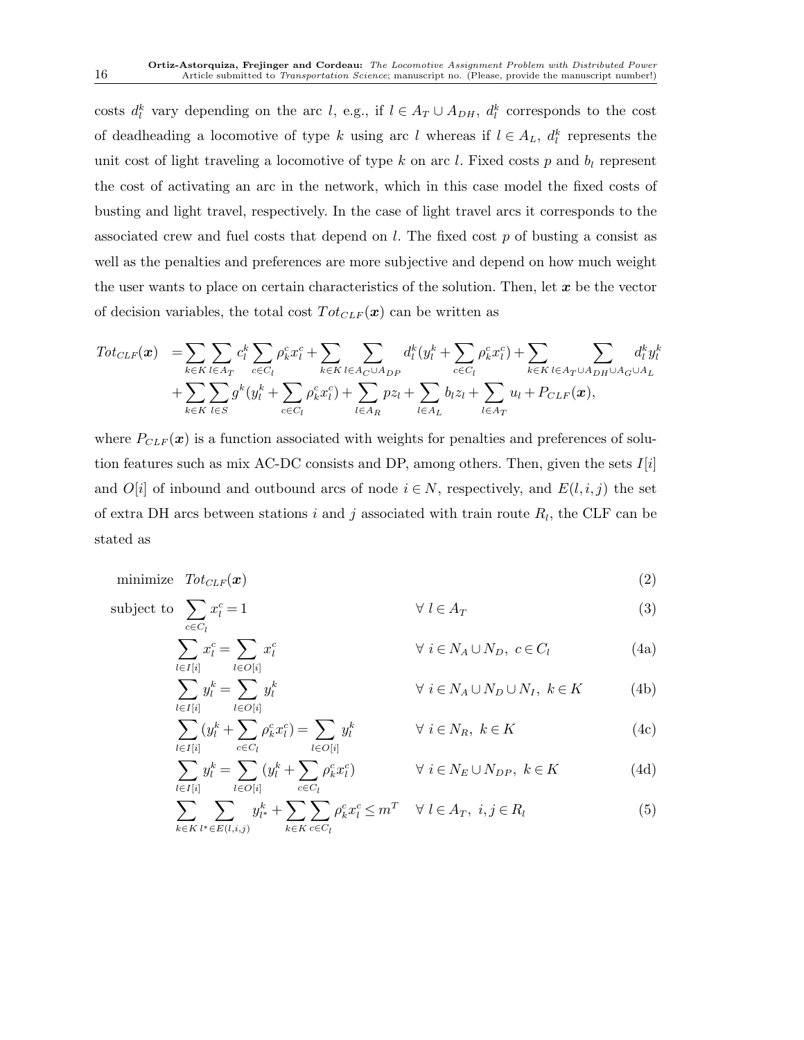costs  $d_l^k$  vary depending on the arc l, e.g., if  $l \in A_T \cup A_{DH}$ ,  $d_l^k$  corresponds to the cost of deadheading a locomotive of type k using arc l whereas if  $l \in A_L$ ,  $d_l^k$  represents the unit cost of light traveling a locomotive of type k on arc l. Fixed costs p and  $b_l$  represent the cost of activating an arc in the network, which in this case model the fixed costs of busting and light travel, respectively. In the case of light travel arcs it corresponds to the associated crew and fuel costs that depend on  $l$ . The fixed cost  $p$  of busting a consist as well as the penalties and preferences are more subjective and depend on how much weight the user wants to place on certain characteristics of the solution. Then, let  $x$  be the vector of decision variables, the total cost  $Tot_{CLF}(x)$  can be written as

$$
Tot_{CLF}(\boldsymbol{x}) = \sum_{k \in K} \sum_{l \in A_T} c_l^k \sum_{c \in C_l} \rho_k^c x_l^c + \sum_{k \in K} \sum_{l \in A_C \cup A_{DP}} d_l^k (y_l^k + \sum_{c \in C_l} \rho_k^c x_l^c) + \sum_{k \in K} \sum_{l \in A_T \cup A_{DH} \cup A_G \cup A_L} d_l^k y_l^k
$$
  
+ 
$$
\sum_{k \in K} \sum_{l \in S} g^k (y_l^k + \sum_{c \in C_l} \rho_k^c x_l^c) + \sum_{l \in A_R} p z_l + \sum_{l \in A_L} b_l z_l + \sum_{l \in A_T} u_l + P_{CLF}(\boldsymbol{x}),
$$

where  $P_{CLF}(\boldsymbol{x})$  is a function associated with weights for penalties and preferences of solution features such as mix AC-DC consists and DP, among others. Then, given the sets  $I[i]$ and  $O[i]$  of inbound and outbound arcs of node  $i \in N$ , respectively, and  $E(l, i, j)$  the set of extra DH arcs between stations i and j associated with train route  $R_l$ , the CLF can be stated as

$$
\text{minimize} \quad \text{Tot}_{CLF}(\boldsymbol{x}) \tag{2}
$$

subject to 
$$
\sum_{c \in C_l} x_l^c = 1 \qquad \forall l \in A_T
$$
 (3)

 $\sum$ 

$$
\sum_{l \in I[i]} x_l^c = \sum_{l \in O[i]} x_l^c \qquad \qquad \forall \ i \in N_A \cup N_D, \ c \in C_l \tag{4a}
$$

$$
y_l^k = \sum_{l \in O[i]} y_l^k \qquad \qquad \forall \ i \in N_A \cup N_D \cup N_I, \ k \in K \tag{4b}
$$

$$
\sum_{l \in I[i]} (y_l^k + \sum_{c \in C_l} \rho_k^c x_l^c) = \sum_{l \in O[i]} y_l^k \qquad \forall \ i \in N_R, \ k \in K
$$
 (4c)

$$
\sum_{l \in I[i]} y_l^k = \sum_{l \in O[i]} (y_l^k + \sum_{c \in C_l} \rho_k^c x_l^c) \qquad \forall i \in N_E \cup N_{DP}, \ k \in K \tag{4d}
$$

$$
\sum_{k \in K} \sum_{l^* \in E(l, i, j)} y_{l^*}^k + \sum_{k \in K} \sum_{c \in C_l} \rho_k^c x_l^c \le m^T \quad \forall \ l \in A_T, \ i, j \in R_l
$$
 (5)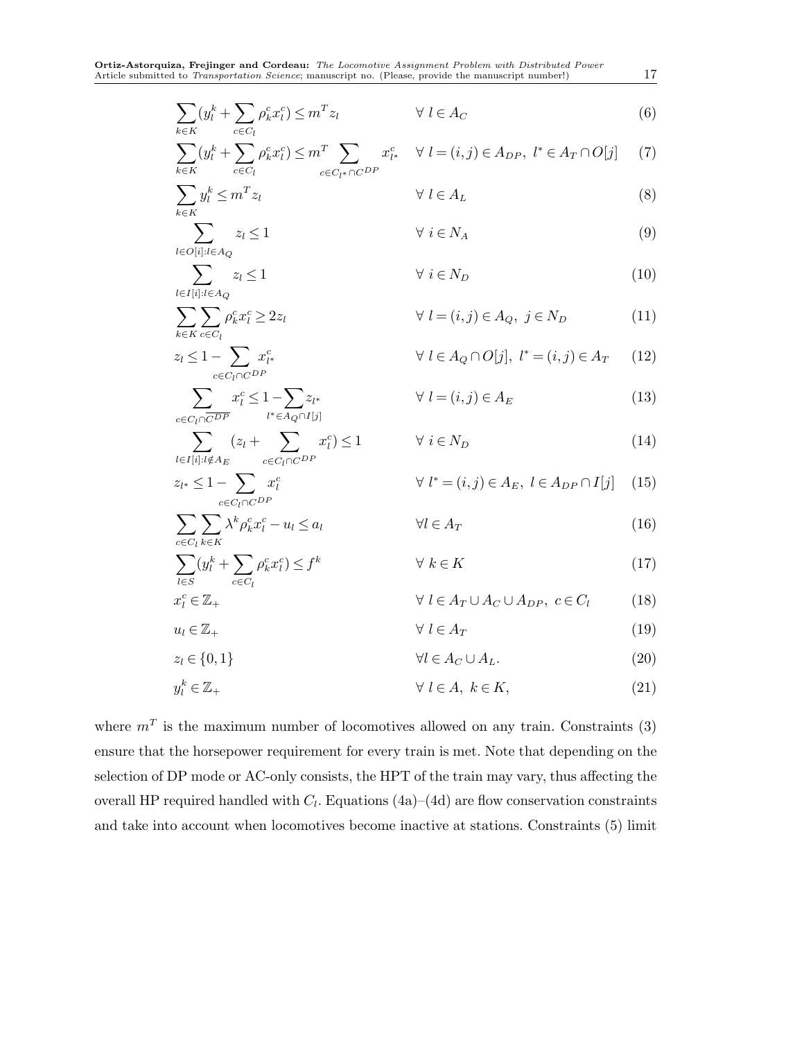$$
\sum_{k \in K} (y_l^k + \sum_{c \in C_l} \rho_k^c x_l^c) \le m^T z_l \qquad \forall l \in A_C
$$
 (6)

$$
\sum_{k \in K} (y_l^k + \sum_{c \in C_l} \rho_k^c x_l^c) \le m^T \sum_{c \in C_{l^*} \cap C^{DP}} x_{l^*}^c \quad \forall \ l = (i, j) \in A_{DP}, \ l^* \in A_T \cap O[j] \tag{7}
$$

$$
\sum_{k \in K} y_l^k \le m^T z_l \qquad \qquad \forall \ l \in A_L \tag{8}
$$

$$
\sum_{l \in O[i]: l \in A_Q} z_l \le 1 \qquad \forall \ i \in N_A \tag{9}
$$

$$
\sum_{l \in I[i]: l \in A_Q} z_l \le 1 \qquad \forall \ i \in N_D \tag{10}
$$

$$
\sum_{k \in K} \sum_{c \in C_l} \rho_k^c x_l^c \ge 2z_l \qquad \forall l = (i, j) \in A_Q, j \in N_D \tag{11}
$$
\n
$$
z_l \le 1 - \sum_{k \in K} x_{l*}^c \qquad \forall l \in A_Q \cap O[j], l^* = (i, j) \in A_T \tag{12}
$$

$$
\sum_{c \in C_l \cap C^{DP}} x_l^c
$$
\n
$$
\sum_{i} x_i^c \le 1 - \sum_{i} z_{l^*}
$$
\n
$$
\forall l \in A_Q \cap C[J], \ i = (i, j) \in A_T \tag{12}
$$
\n
$$
\sum_{i} x_i^c \le 1 - \sum_{i} z_{l^*}
$$
\n
$$
\forall l = (i, j) \in A_E \tag{13}
$$

$$
\sum_{c \in C_l \cap \overline{C}^{DP}} x_i^c \le 1 - \sum_{l^* \in A_Q \cap I[j]} z_{l^*}
$$
\n
$$
\forall l = (i, j) \in A_E
$$
\n
$$
\sum_{c \in C_l \cap \overline{C}^{DP}} x_i^c \le 1
$$
\n
$$
\forall i \in N_D
$$
\n(13)

$$
i \in I[i]: l \notin A_E
$$
  
\n
$$
z_{l^*} \leq 1 - \sum_{c \in C_l \cap C^{DP}} x_l^c
$$
  
\n
$$
\forall l^* = (i, j) \in A_E, l \in A_{DP} \cap I[j] \quad (15)
$$

$$
\sum_{c \in C_l} \sum_{k \in K} \lambda^k \rho_k^c x_l^c - u_l \le a_l \qquad \qquad \forall l \in A_T
$$
\n(16)

$$
\sum_{l \in S} (y_l^k + \sum_{c \in C_l} \rho_k^c x_l^c) \le f^k \qquad \forall k \in K \tag{17}
$$
\n
$$
x_l^c \in \mathbb{Z}_+ \qquad \qquad \forall l \in A_T \cup A_C \cup A_{DP}, \ c \in C_l \tag{18}
$$

$$
u_l \in \mathbb{Z}_+ \qquad \qquad \forall \ l \in A_T \tag{19}
$$

$$
z_l \in \{0, 1\} \qquad \qquad \forall l \in A_C \cup A_L. \tag{20}
$$

$$
y_l^k \in \mathbb{Z}_+ \qquad \qquad \forall \ l \in A, \ k \in K,
$$
\n<sup>(21)</sup>

where  $m<sup>T</sup>$  is the maximum number of locomotives allowed on any train. Constraints (3) ensure that the horsepower requirement for every train is met. Note that depending on the selection of DP mode or AC-only consists, the HPT of the train may vary, thus affecting the overall HP required handled with  $C_l$ . Equations (4a)–(4d) are flow conservation constraints and take into account when locomotives become inactive at stations. Constraints (5) limit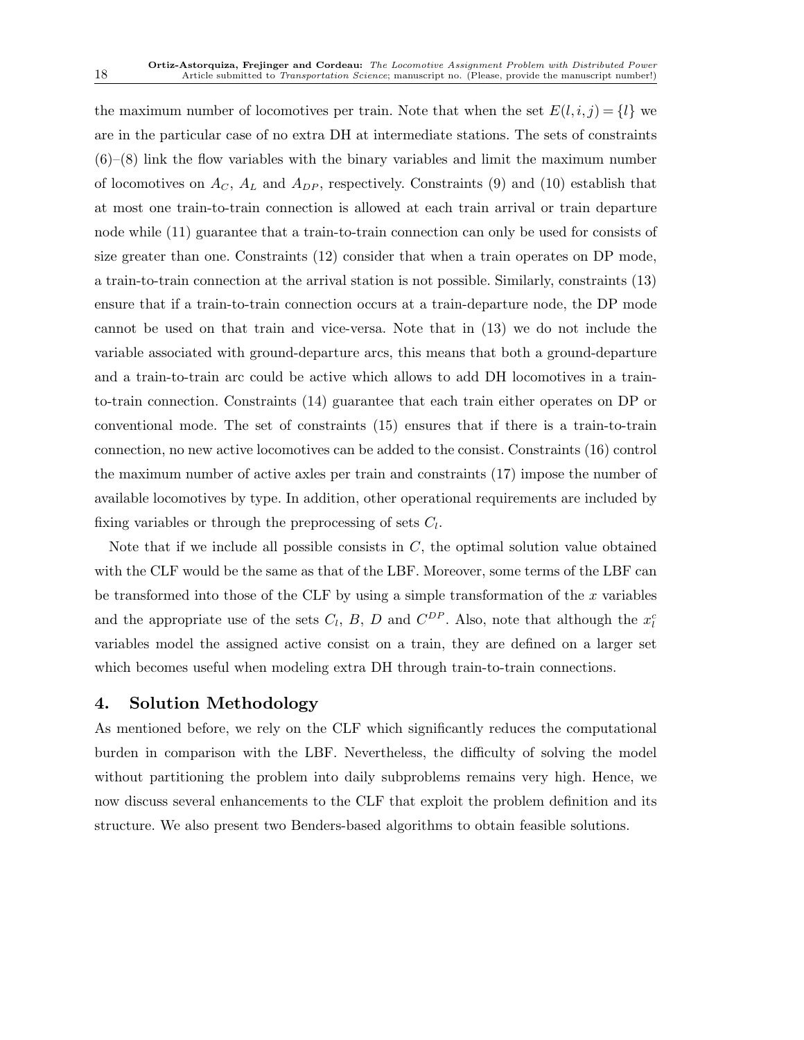the maximum number of locomotives per train. Note that when the set  $E(l, i, j) = \{l\}$  we are in the particular case of no extra DH at intermediate stations. The sets of constraints  $(6)$ – $(8)$  link the flow variables with the binary variables and limit the maximum number of locomotives on  $A_C$ ,  $A_L$  and  $A_{DP}$ , respectively. Constraints (9) and (10) establish that at most one train-to-train connection is allowed at each train arrival or train departure node while (11) guarantee that a train-to-train connection can only be used for consists of size greater than one. Constraints (12) consider that when a train operates on DP mode, a train-to-train connection at the arrival station is not possible. Similarly, constraints (13) ensure that if a train-to-train connection occurs at a train-departure node, the DP mode cannot be used on that train and vice-versa. Note that in (13) we do not include the variable associated with ground-departure arcs, this means that both a ground-departure and a train-to-train arc could be active which allows to add DH locomotives in a trainto-train connection. Constraints (14) guarantee that each train either operates on DP or conventional mode. The set of constraints (15) ensures that if there is a train-to-train connection, no new active locomotives can be added to the consist. Constraints (16) control the maximum number of active axles per train and constraints (17) impose the number of available locomotives by type. In addition, other operational requirements are included by fixing variables or through the preprocessing of sets  $C_l$ .

Note that if we include all possible consists in  $C$ , the optimal solution value obtained with the CLF would be the same as that of the LBF. Moreover, some terms of the LBF can be transformed into those of the CLF by using a simple transformation of the  $x$  variables and the appropriate use of the sets  $C_l$ ,  $B$ ,  $D$  and  $C^{DP}$ . Also, note that although the  $x_l^c$ variables model the assigned active consist on a train, they are defined on a larger set which becomes useful when modeling extra DH through train-to-train connections.

# 4. Solution Methodology

As mentioned before, we rely on the CLF which significantly reduces the computational burden in comparison with the LBF. Nevertheless, the difficulty of solving the model without partitioning the problem into daily subproblems remains very high. Hence, we now discuss several enhancements to the CLF that exploit the problem definition and its structure. We also present two Benders-based algorithms to obtain feasible solutions.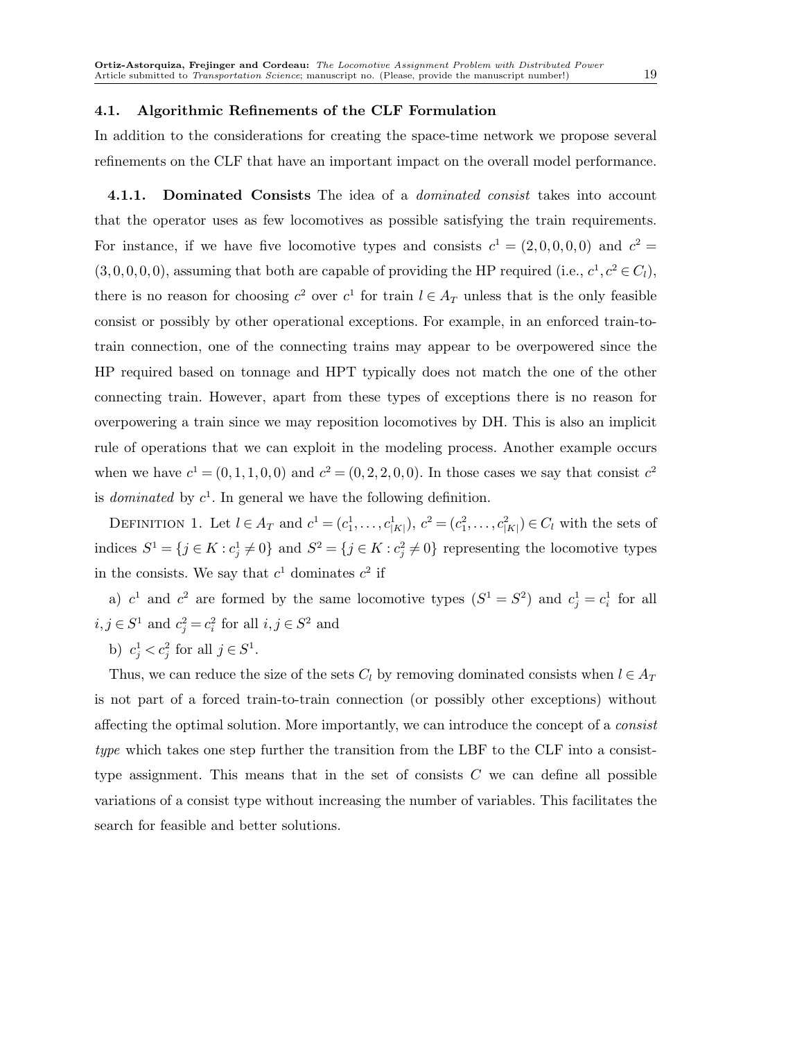#### 4.1. Algorithmic Refinements of the CLF Formulation

In addition to the considerations for creating the space-time network we propose several refinements on the CLF that have an important impact on the overall model performance.

**4.1.1.** Dominated Consists The idea of a *dominated consist* takes into account that the operator uses as few locomotives as possible satisfying the train requirements. For instance, if we have five locomotive types and consists  $c^1 = (2,0,0,0,0)$  and  $c^2 =$  $(3, 0, 0, 0, 0)$ , assuming that both are capable of providing the HP required (i.e.,  $c^1, c^2 \in C_l$ ), there is no reason for choosing  $c^2$  over  $c^1$  for train  $l \in A_T$  unless that is the only feasible consist or possibly by other operational exceptions. For example, in an enforced train-totrain connection, one of the connecting trains may appear to be overpowered since the HP required based on tonnage and HPT typically does not match the one of the other connecting train. However, apart from these types of exceptions there is no reason for overpowering a train since we may reposition locomotives by DH. This is also an implicit rule of operations that we can exploit in the modeling process. Another example occurs when we have  $c^1 = (0, 1, 1, 0, 0)$  and  $c^2 = (0, 2, 2, 0, 0)$ . In those cases we say that consist  $c^2$ is *dominated* by  $c^1$ . In general we have the following definition.

DEFINITION 1. Let  $l \in A_T$  and  $c^1 = (c_1^1, \ldots, c_{|K|}^1), c^2 = (c_1^2, \ldots, c_{|K|}^2) \in C_l$  with the sets of indices  $S^1 = \{j \in K : c_j^1 \neq 0\}$  and  $S^2 = \{j \in K : c_j^2 \neq 0\}$  representing the locomotive types in the consists. We say that  $c^1$  dominates  $c^2$  if

a)  $c^1$  and  $c^2$  are formed by the same locomotive types  $(S^1 = S^2)$  and  $c_j^1 = c_i^1$  for all  $i, j \in S^1$  and  $c_j^2 = c_i^2$  for all  $i, j \in S^2$  and

b)  $c_j^1 < c_j^2$  for all  $j \in S^1$ .

Thus, we can reduce the size of the sets  $C_l$  by removing dominated consists when  $l \in A_T$ is not part of a forced train-to-train connection (or possibly other exceptions) without affecting the optimal solution. More importantly, we can introduce the concept of a consist type which takes one step further the transition from the LBF to the CLF into a consisttype assignment. This means that in the set of consists  $C$  we can define all possible variations of a consist type without increasing the number of variables. This facilitates the search for feasible and better solutions.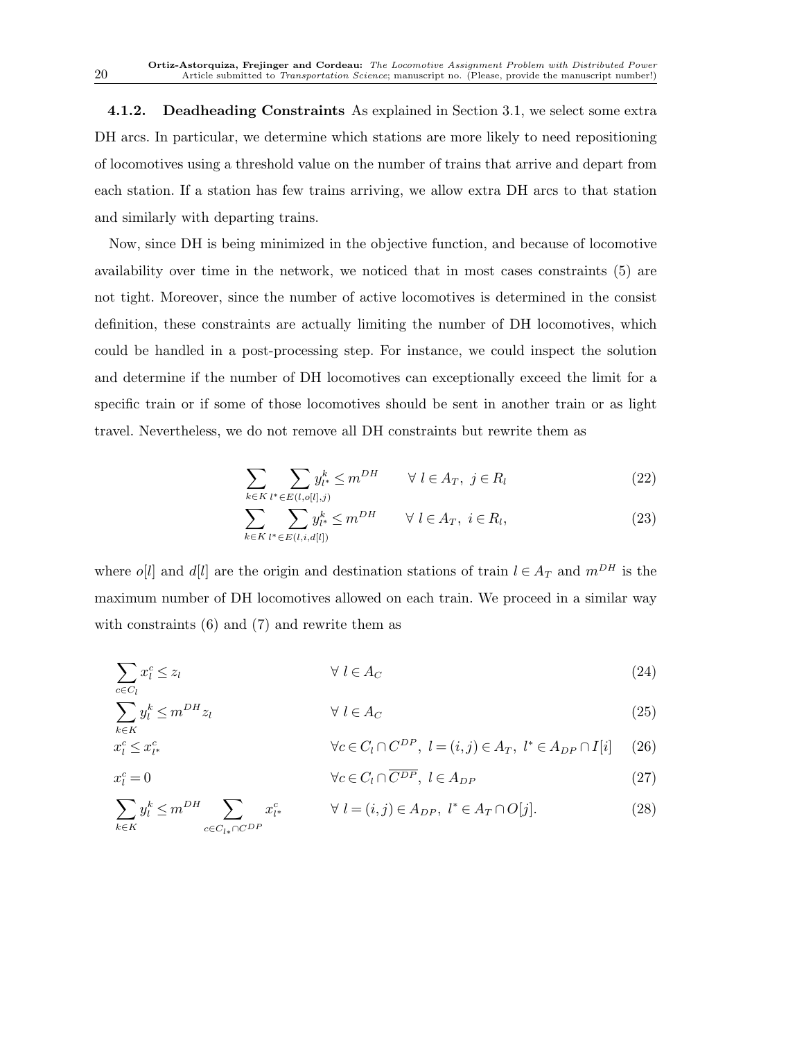4.1.2. Deadheading Constraints As explained in Section 3.1, we select some extra DH arcs. In particular, we determine which stations are more likely to need repositioning of locomotives using a threshold value on the number of trains that arrive and depart from each station. If a station has few trains arriving, we allow extra DH arcs to that station and similarly with departing trains.

Now, since DH is being minimized in the objective function, and because of locomotive availability over time in the network, we noticed that in most cases constraints (5) are not tight. Moreover, since the number of active locomotives is determined in the consist definition, these constraints are actually limiting the number of DH locomotives, which could be handled in a post-processing step. For instance, we could inspect the solution and determine if the number of DH locomotives can exceptionally exceed the limit for a specific train or if some of those locomotives should be sent in another train or as light travel. Nevertheless, we do not remove all DH constraints but rewrite them as

$$
\sum_{k \in K} \sum_{l^* \in E(l, o[l], j)} y_{l^*}^k \le m^{DH} \qquad \forall l \in A_T, \ j \in R_l \tag{22}
$$

$$
\sum_{k \in K} \sum_{l^* \in E(l, i, d[l])} y_{l^*}^k \le m^{DH} \qquad \forall l \in A_T, \ i \in R_l,
$$
\n
$$
(23)
$$

where o[l] and d[l] are the origin and destination stations of train  $l \in A_T$  and  $m^{DH}$  is the maximum number of DH locomotives allowed on each train. We proceed in a similar way with constraints  $(6)$  and  $(7)$  and rewrite them as

$$
\sum_{c \in C_l} x_l^c \le z_l \qquad \qquad \forall \ l \in A_C \tag{24}
$$

$$
\sum_{k \in K} y_l^k \le m^{DH} z_l \qquad \qquad \forall \ l \in A_C \tag{25}
$$

$$
\forall c \in C_l \cap C^{DP}, \ l = (i, j) \in A_T, \ l^* \in A_{DP} \cap I[i] \tag{26}
$$

$$
\forall c \in C_l \cap \overline{C^{DP}}, \ l \in A_{DP} \tag{27}
$$

$$
\sum_{k \in K} y_l^k \le m^{DH} \sum_{c \in C_{l*} \cap C^{DP}} x_{l^*}^c \qquad \forall l = (i, j) \in A_{DP}, \ l^* \in A_T \cap O[j]. \tag{28}
$$

 $x_l^c$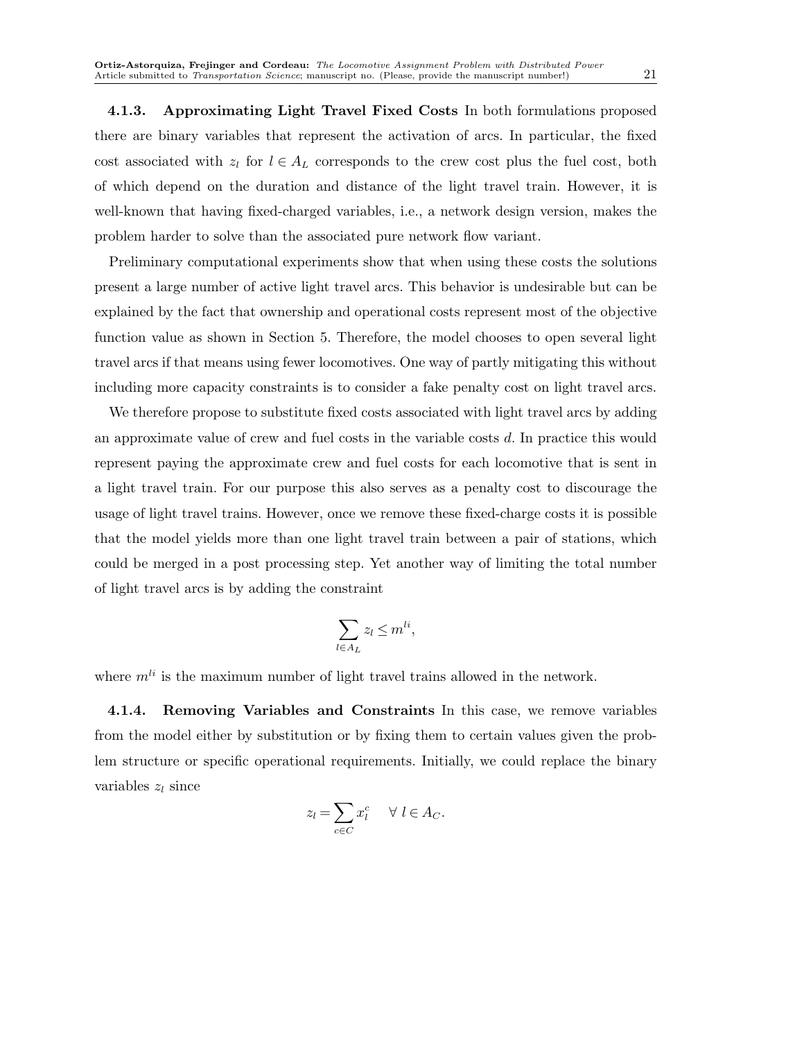4.1.3. Approximating Light Travel Fixed Costs In both formulations proposed there are binary variables that represent the activation of arcs. In particular, the fixed cost associated with  $z_l$  for  $l \in A_L$  corresponds to the crew cost plus the fuel cost, both of which depend on the duration and distance of the light travel train. However, it is well-known that having fixed-charged variables, i.e., a network design version, makes the problem harder to solve than the associated pure network flow variant.

Preliminary computational experiments show that when using these costs the solutions present a large number of active light travel arcs. This behavior is undesirable but can be explained by the fact that ownership and operational costs represent most of the objective function value as shown in Section 5. Therefore, the model chooses to open several light travel arcs if that means using fewer locomotives. One way of partly mitigating this without including more capacity constraints is to consider a fake penalty cost on light travel arcs.

We therefore propose to substitute fixed costs associated with light travel arcs by adding an approximate value of crew and fuel costs in the variable costs d. In practice this would represent paying the approximate crew and fuel costs for each locomotive that is sent in a light travel train. For our purpose this also serves as a penalty cost to discourage the usage of light travel trains. However, once we remove these fixed-charge costs it is possible that the model yields more than one light travel train between a pair of stations, which could be merged in a post processing step. Yet another way of limiting the total number of light travel arcs is by adding the constraint

$$
\sum_{l \in A_L} z_l \le m^{li},
$$

where  $m^{li}$  is the maximum number of light travel trains allowed in the network.

4.1.4. Removing Variables and Constraints In this case, we remove variables from the model either by substitution or by fixing them to certain values given the problem structure or specific operational requirements. Initially, we could replace the binary variables  $z_l$  since

$$
z_l = \sum_{c \in C} x_l^c \quad \forall \ l \in A_C.
$$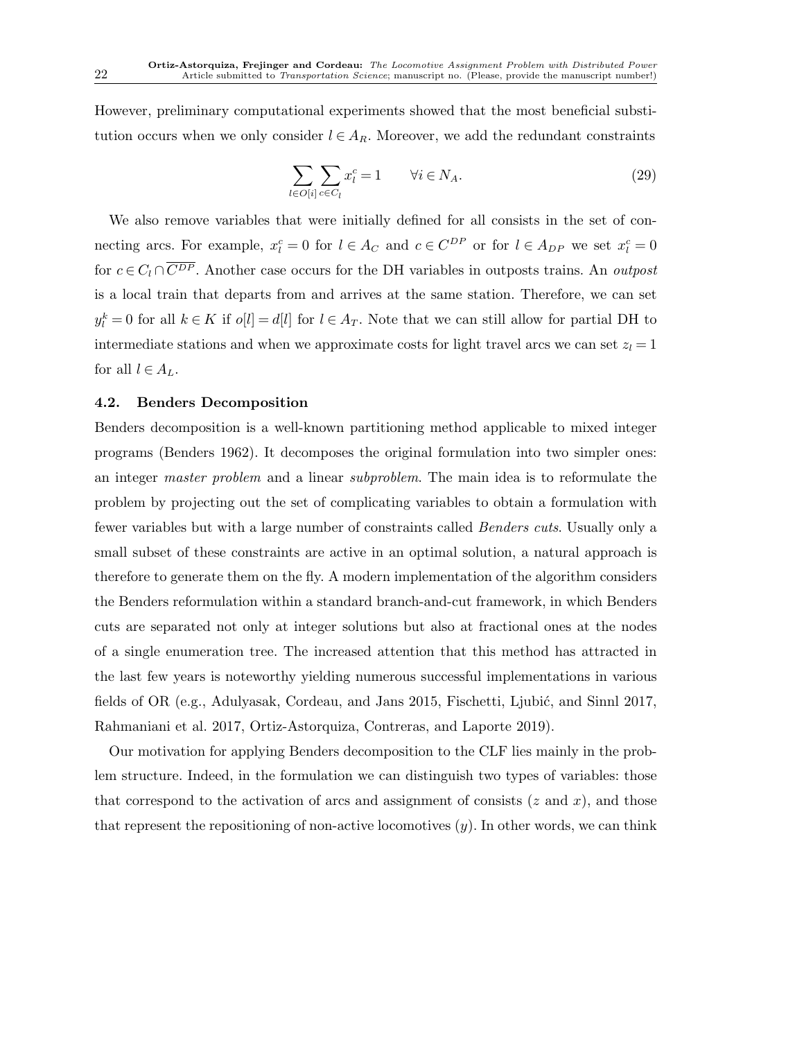However, preliminary computational experiments showed that the most beneficial substitution occurs when we only consider  $l \in A_R$ . Moreover, we add the redundant constraints

$$
\sum_{l \in O[i]} \sum_{c \in C_l} x_l^c = 1 \qquad \forall i \in N_A.
$$
\n(29)

We also remove variables that were initially defined for all consists in the set of connecting arcs. For example,  $x_i^c = 0$  for  $l \in A_C$  and  $c \in C^{DP}$  or for  $l \in A_{DP}$  we set  $x_i^c = 0$ for  $c \in C_l \cap \overline{C^{DP}}$ . Another case occurs for the DH variables in outposts trains. An *outpost* is a local train that departs from and arrives at the same station. Therefore, we can set  $y_l^k = 0$  for all  $k \in K$  if  $o[l] = d[l]$  for  $l \in A_T$ . Note that we can still allow for partial DH to intermediate stations and when we approximate costs for light travel arcs we can set  $z<sub>l</sub> = 1$ for all  $l \in A_L$ .

# 4.2. Benders Decomposition

Benders decomposition is a well-known partitioning method applicable to mixed integer programs (Benders 1962). It decomposes the original formulation into two simpler ones: an integer master problem and a linear subproblem. The main idea is to reformulate the problem by projecting out the set of complicating variables to obtain a formulation with fewer variables but with a large number of constraints called Benders cuts. Usually only a small subset of these constraints are active in an optimal solution, a natural approach is therefore to generate them on the fly. A modern implementation of the algorithm considers the Benders reformulation within a standard branch-and-cut framework, in which Benders cuts are separated not only at integer solutions but also at fractional ones at the nodes of a single enumeration tree. The increased attention that this method has attracted in the last few years is noteworthy yielding numerous successful implementations in various fields of OR  $(e.g., \text{Adulyasak}, \text{Cordeau}, \text{and Jans } 2015, \text{Fischetti}, \text{Ljubić}, \text{and } \text{Sinnl } 2017,$ Rahmaniani et al. 2017, Ortiz-Astorquiza, Contreras, and Laporte 2019).

Our motivation for applying Benders decomposition to the CLF lies mainly in the problem structure. Indeed, in the formulation we can distinguish two types of variables: those that correspond to the activation of arcs and assignment of consists  $(z \text{ and } x)$ , and those that represent the repositioning of non-active locomotives  $(y)$ . In other words, we can think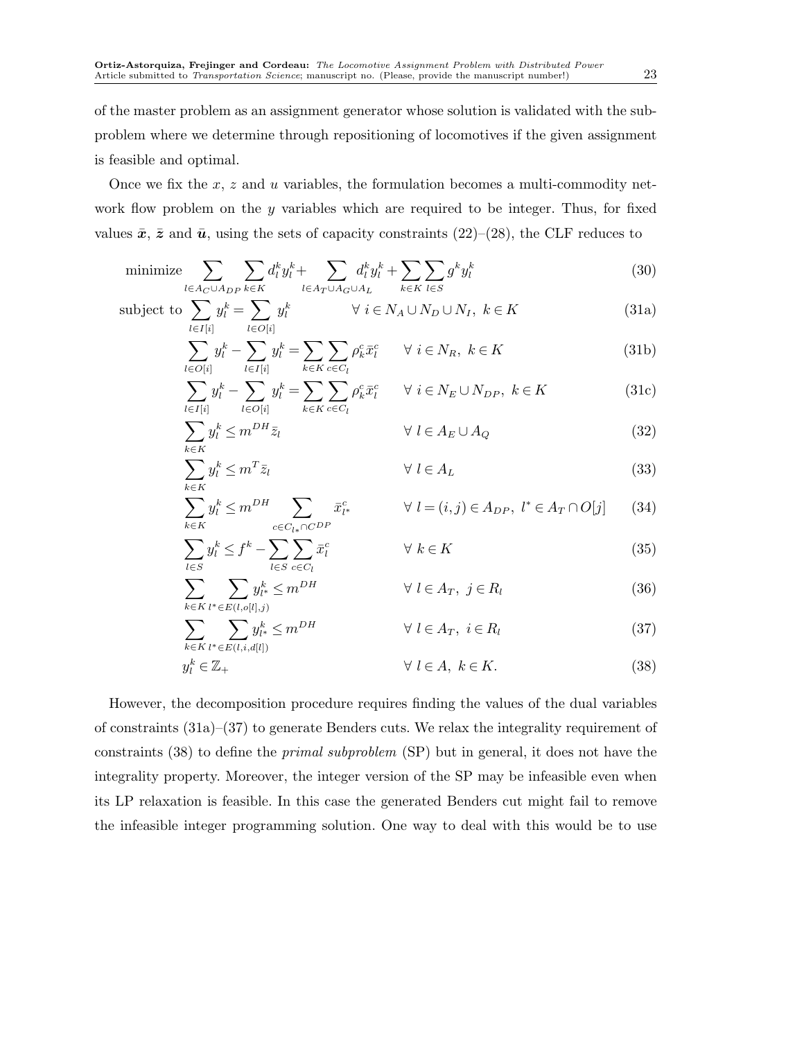is feasible and optimal.

of the master problem as an assignment generator whose solution is validated with the subproblem where we determine through repositioning of locomotives if the given assignment

Once we fix the  $x, z$  and u variables, the formulation becomes a multi-commodity network flow problem on the  $y$  variables which are required to be integer. Thus, for fixed values  $\bar{x}$ ,  $\bar{z}$  and  $\bar{u}$ , using the sets of capacity constraints (22)–(28), the CLF reduces to

$$
\text{minimize} \sum_{l \in A_C \cup A_{DP}} \sum_{k \in K} d_l^k y_l^k + \sum_{l \in A_T \cup A_G \cup A_L} d_l^k y_l^k + \sum_{k \in K} \sum_{l \in S} g^k y_l^k \tag{30}
$$

subject to 
$$
\sum_{l \in I[i]} y_l^k = \sum_{l \in O[i]} y_l^k \qquad \forall i \in N_A \cup N_D \cup N_I, \ k \in K
$$
 (31a)

$$
\sum_{l \in O[i]} y_l^k - \sum_{l \in I[i]} y_l^k = \sum_{k \in K} \sum_{c \in C_l} \rho_k^c \bar{x}_l^c \qquad \forall \ i \in N_R, \ k \in K \tag{31b}
$$

$$
\sum_{l \in I[i]} y_l^k - \sum_{l \in O[i]} y_l^k = \sum_{k \in K} \sum_{c \in C_l} \rho_k^c \bar{x}_l^c \qquad \forall \ i \in N_E \cup N_{DP}, \ k \in K
$$
\n(31c)

$$
\sum_{k \in K} y_l^k \le m^{DH} \bar{z}_l \qquad \qquad \forall \ l \in A_E \cup A_Q \tag{32}
$$

$$
\sum_{k \in K} y_l^k \le m^T \bar{z}_l \qquad \qquad \forall \ l \in A_L \tag{33}
$$

$$
\sum_{k \in K} y_l^k \le m^{DH} \sum_{c \in C_{l*} \cap C^{DP}} \bar{x}_{l*}^c \qquad \forall l = (i, j) \in A_{DP}, \ l^* \in A_T \cap O[j] \qquad (34)
$$

$$
\sum_{l \in S} y_l^k \le f^k - \sum_{l \in S} \sum_{c \in C_l} \bar{x}_l^c \qquad \forall \ k \in K
$$
\n(35)

$$
\sum_{k \in K} \sum_{l^* \in E(l, o[l], j)} y_{l^*}^k \le m^{DH} \qquad \forall l \in A_T, j \in R_l \tag{36}
$$

$$
\sum_{k \in K} \sum_{l^* \in E(l, i, d[l])} y_{l^*}^k \le m^{DH} \qquad \forall l \in A_T, i \in R_l \tag{37}
$$

$$
y_l^k \in \mathbb{Z}_+ \qquad \qquad \forall \ l \in A, \ k \in K. \tag{38}
$$

However, the decomposition procedure requires finding the values of the dual variables of constraints (31a)–(37) to generate Benders cuts. We relax the integrality requirement of constraints (38) to define the primal subproblem (SP) but in general, it does not have the integrality property. Moreover, the integer version of the SP may be infeasible even when its LP relaxation is feasible. In this case the generated Benders cut might fail to remove the infeasible integer programming solution. One way to deal with this would be to use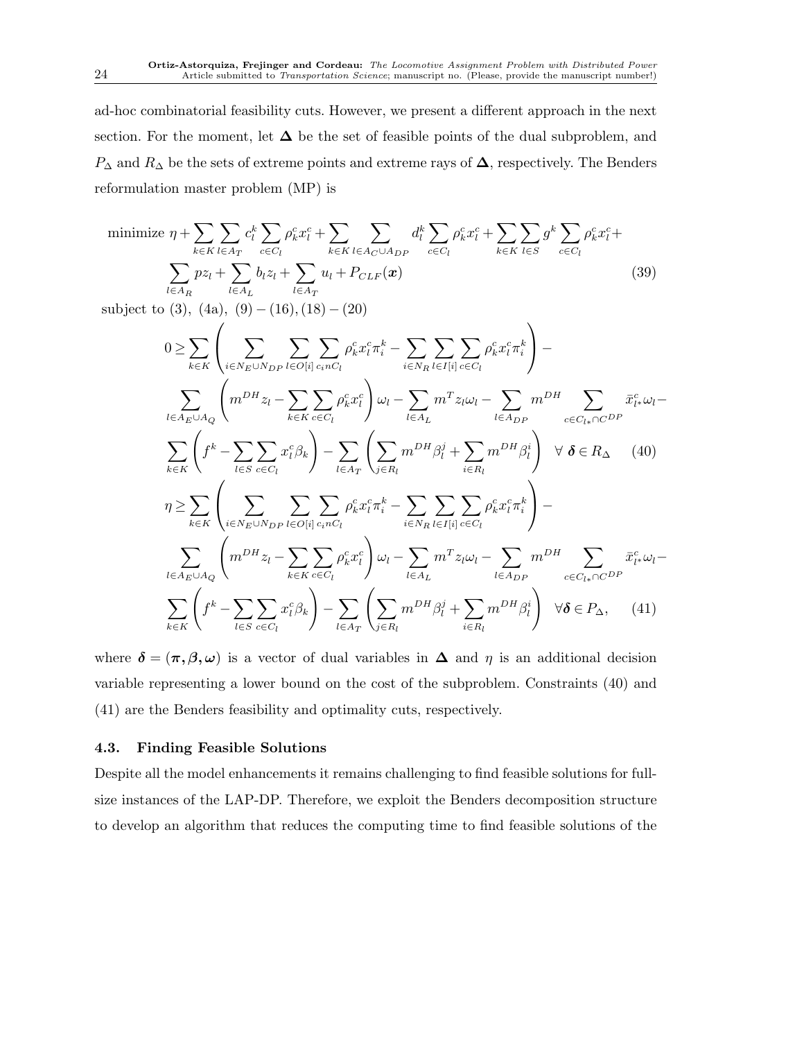ad-hoc combinatorial feasibility cuts. However, we present a different approach in the next section. For the moment, let  $\Delta$  be the set of feasible points of the dual subproblem, and  $P_{\Delta}$  and  $R_{\Delta}$  be the sets of extreme points and extreme rays of  $\Delta$ , respectively. The Benders reformulation master problem (MP) is

minimize 
$$
\eta + \sum_{k \in K} \sum_{l \in A_T} c_l^k \sum_{c \in C_l} \rho_k^c x_l^c + \sum_{k \in K} \sum_{l \in A_C \cup A_{DP}} d_l^k \sum_{c \in C_l} \rho_k^c x_l^c + \sum_{k \in K} \sum_{l \in S} g^k \sum_{c \in C_l} \rho_k^c x_l^c + \sum_{l \in A_R} p z_l + \sum_{l \in A_L} b_l z_l + \sum_{l \in A_T} u_l + P_{CLF}(\boldsymbol{x})
$$
\n  
\n
$$
\text{subject to (3)} \quad (4) \quad (9) \quad (16) \quad (18) \quad (20) \tag{39}
$$

subject to  $(3)$ ,  $(4a)$ ,  $(9) - (16)$ ,  $(18) - (20)$ 

$$
0 \geq \sum_{k \in K} \left( \sum_{i \in N_E \cup N_{DP}} \sum_{l \in O[i]} \sum_{c_i n_i c_l} \rho_k^c x_l^c \pi_i^k - \sum_{i \in N_R} \sum_{l \in I[i]} \sum_{c \in C_l} \rho_k^c x_l^c \pi_i^k \right) -
$$
  

$$
\sum_{l \in A_E \cup A_Q} \left( m^{DH} z_l - \sum_{k \in K} \sum_{c \in C_l} \rho_k^c x_l^c \right) \omega_l - \sum_{l \in A_L} m^T z_l \omega_l - \sum_{l \in A_{DP}} m^{DH} \sum_{c \in C_{l*} \cap CDP} \bar{x}_{l*}^c \omega_l -
$$
  

$$
\sum_{k \in K} \left( f^k - \sum_{l \in S} \sum_{c \in C_l} x_l^c \beta_k \right) - \sum_{l \in A_T} \left( \sum_{j \in R_l} m^{DH} \beta_l^j + \sum_{i \in R_l} m^{DH} \beta_l^i \right) \forall \delta \in R_\Delta \quad (40)
$$
  

$$
\eta \geq \sum_{k \in K} \left( \sum_{i \in N_E \cup N_{DP}} \sum_{l \in O[i]} \sum_{c_i n_i c_l} \rho_k^c x_l^c \pi_i^k - \sum_{i \in N_R} \sum_{l \in I[i]} \sum_{c \in C_l} \rho_k^c x_l^c \pi_i^k \right) -
$$
  

$$
\sum_{l \in A_E \cup A_Q} \left( m^{DH} z_l - \sum_{k \in K} \sum_{c \in C_l} \rho_k^c x_l^c \right) \omega_l - \sum_{l \in A_L} m^T z_l \omega_l - \sum_{l \in A_{DP}} m^{DH} \sum_{c \in C_{l*} \cap CDP} \bar{x}_{l*}^c \omega_l -
$$
  

$$
\sum_{k \in K} \left( f^k - \sum_{l \in S} \sum_{c \in C_l} x_l^c \beta_k \right) - \sum_{l \in A_T} \left( \sum_{j \in R_l} m^{DH} \beta_l^j + \sum_{i \in R_l} m^{DH} \beta_l^i \right) \forall \delta \in P_\Delta, \quad (41)
$$

where  $\delta = (\pi, \beta, \omega)$  is a vector of dual variables in  $\Delta$  and  $\eta$  is an additional decision variable representing a lower bound on the cost of the subproblem. Constraints (40) and (41) are the Benders feasibility and optimality cuts, respectively.

## 4.3. Finding Feasible Solutions

Despite all the model enhancements it remains challenging to find feasible solutions for fullsize instances of the LAP-DP. Therefore, we exploit the Benders decomposition structure to develop an algorithm that reduces the computing time to find feasible solutions of the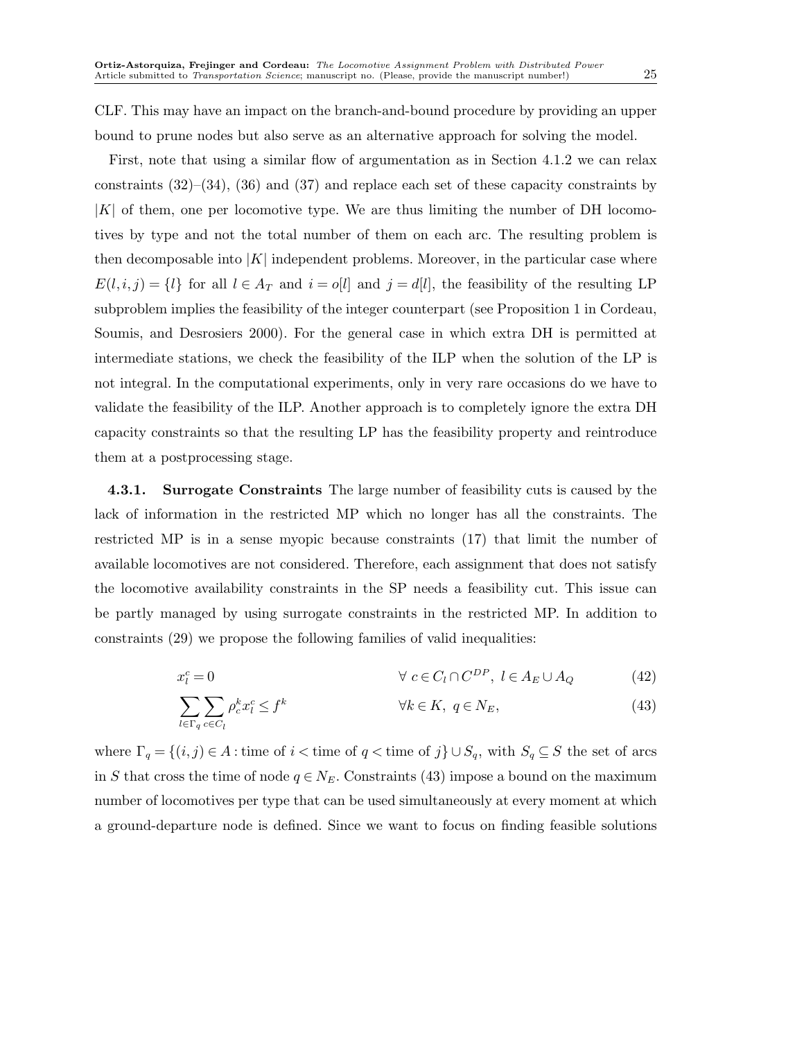CLF. This may have an impact on the branch-and-bound procedure by providing an upper bound to prune nodes but also serve as an alternative approach for solving the model.

First, note that using a similar flow of argumentation as in Section 4.1.2 we can relax constraints (32)–(34), (36) and (37) and replace each set of these capacity constraints by  $|K|$  of them, one per locomotive type. We are thus limiting the number of DH locomotives by type and not the total number of them on each arc. The resulting problem is then decomposable into  $|K|$  independent problems. Moreover, in the particular case where  $E(l, i, j) = \{l\}$  for all  $l \in A_T$  and  $i = o[l]$  and  $j = d[l]$ , the feasibility of the resulting LP subproblem implies the feasibility of the integer counterpart (see Proposition 1 in Cordeau, Soumis, and Desrosiers 2000). For the general case in which extra DH is permitted at intermediate stations, we check the feasibility of the ILP when the solution of the LP is not integral. In the computational experiments, only in very rare occasions do we have to validate the feasibility of the ILP. Another approach is to completely ignore the extra DH capacity constraints so that the resulting LP has the feasibility property and reintroduce them at a postprocessing stage.

4.3.1. Surrogate Constraints The large number of feasibility cuts is caused by the lack of information in the restricted MP which no longer has all the constraints. The restricted MP is in a sense myopic because constraints (17) that limit the number of available locomotives are not considered. Therefore, each assignment that does not satisfy the locomotive availability constraints in the SP needs a feasibility cut. This issue can be partly managed by using surrogate constraints in the restricted MP. In addition to constraints (29) we propose the following families of valid inequalities:

$$
x_l^c = 0 \qquad \qquad \forall \ c \in C_l \cap C^{DP}, \ l \in A_E \cup A_Q \tag{42}
$$

$$
\sum_{l \in \Gamma_q} \sum_{c \in C_l} \rho_c^k x_l^c \le f^k \qquad \qquad \forall k \in K, \ q \in N_E,\tag{43}
$$

where  $\Gamma_q = \{(i, j) \in A : \text{time of } i < \text{time of } q < \text{time of } j\} \cup S_q$ , with  $S_q \subseteq S$  the set of arcs in S that cross the time of node  $q \in N_E$ . Constraints (43) impose a bound on the maximum number of locomotives per type that can be used simultaneously at every moment at which a ground-departure node is defined. Since we want to focus on finding feasible solutions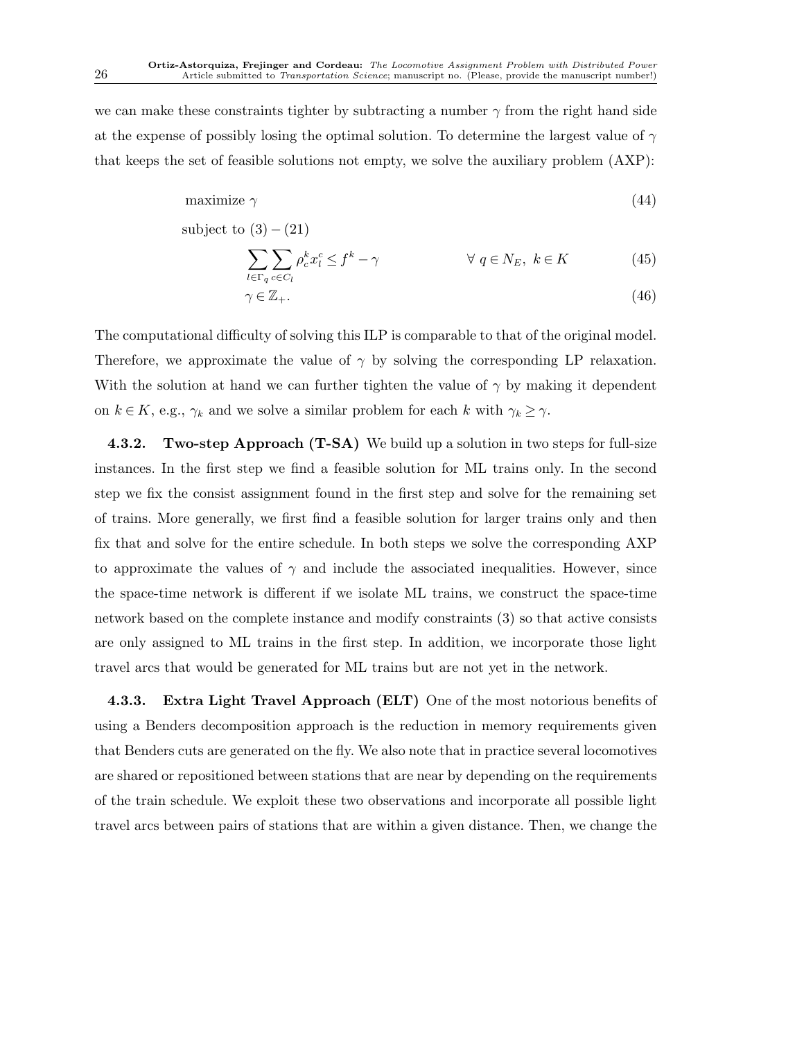we can make these constraints tighter by subtracting a number  $\gamma$  from the right hand side at the expense of possibly losing the optimal solution. To determine the largest value of  $\gamma$ that keeps the set of feasible solutions not empty, we solve the auxiliary problem (AXP):

$$
maximize \ \gamma \tag{44}
$$

subject to 
$$
(3) - (21)
$$

$$
\sum_{l \in \Gamma_q} \sum_{c \in C_l} \rho_c^k x_l^c \le f^k - \gamma \qquad \qquad \forall \ q \in N_E, \ k \in K \tag{45}
$$

$$
\gamma \in \mathbb{Z}_+.\tag{46}
$$

The computational difficulty of solving this ILP is comparable to that of the original model. Therefore, we approximate the value of  $\gamma$  by solving the corresponding LP relaxation. With the solution at hand we can further tighten the value of  $\gamma$  by making it dependent on  $k \in K$ , e.g.,  $\gamma_k$  and we solve a similar problem for each k with  $\gamma_k \geq \gamma$ .

4.3.2. Two-step Approach (T-SA) We build up a solution in two steps for full-size instances. In the first step we find a feasible solution for ML trains only. In the second step we fix the consist assignment found in the first step and solve for the remaining set of trains. More generally, we first find a feasible solution for larger trains only and then fix that and solve for the entire schedule. In both steps we solve the corresponding AXP to approximate the values of  $\gamma$  and include the associated inequalities. However, since the space-time network is different if we isolate ML trains, we construct the space-time network based on the complete instance and modify constraints (3) so that active consists are only assigned to ML trains in the first step. In addition, we incorporate those light travel arcs that would be generated for ML trains but are not yet in the network.

4.3.3. Extra Light Travel Approach (ELT) One of the most notorious benefits of using a Benders decomposition approach is the reduction in memory requirements given that Benders cuts are generated on the fly. We also note that in practice several locomotives are shared or repositioned between stations that are near by depending on the requirements of the train schedule. We exploit these two observations and incorporate all possible light travel arcs between pairs of stations that are within a given distance. Then, we change the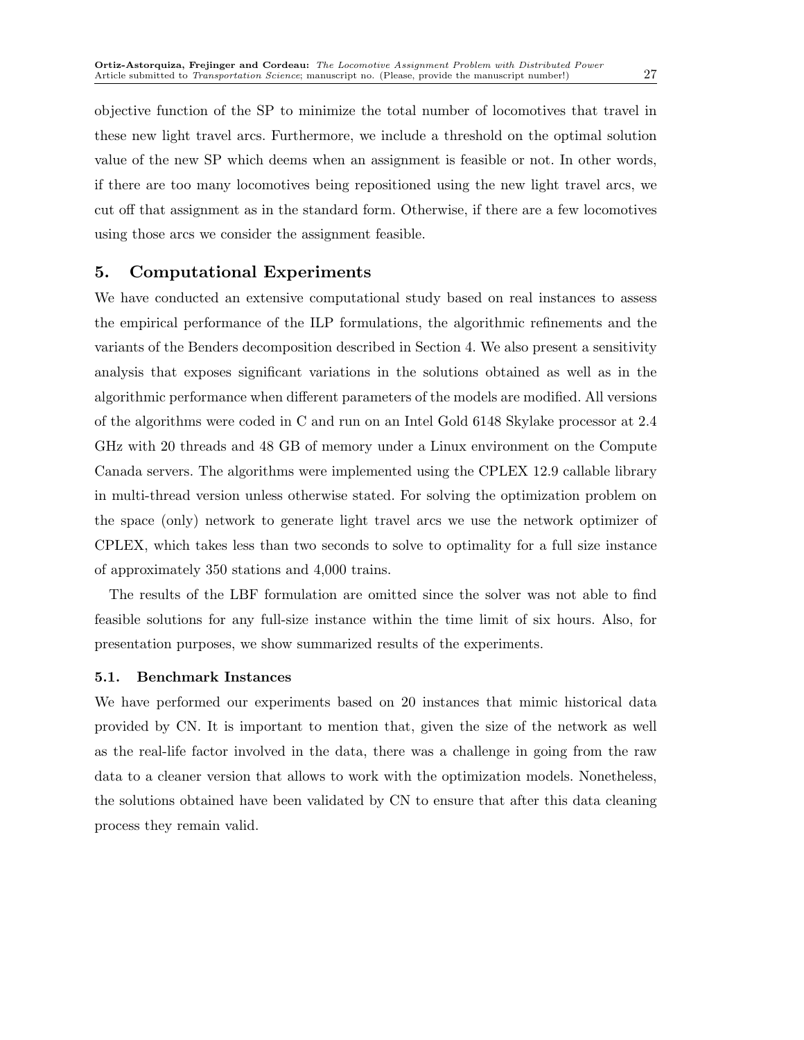objective function of the SP to minimize the total number of locomotives that travel in these new light travel arcs. Furthermore, we include a threshold on the optimal solution value of the new SP which deems when an assignment is feasible or not. In other words, if there are too many locomotives being repositioned using the new light travel arcs, we cut off that assignment as in the standard form. Otherwise, if there are a few locomotives using those arcs we consider the assignment feasible.

# 5. Computational Experiments

We have conducted an extensive computational study based on real instances to assess the empirical performance of the ILP formulations, the algorithmic refinements and the variants of the Benders decomposition described in Section 4. We also present a sensitivity analysis that exposes significant variations in the solutions obtained as well as in the algorithmic performance when different parameters of the models are modified. All versions of the algorithms were coded in C and run on an Intel Gold 6148 Skylake processor at 2.4 GHz with 20 threads and 48 GB of memory under a Linux environment on the Compute Canada servers. The algorithms were implemented using the CPLEX 12.9 callable library in multi-thread version unless otherwise stated. For solving the optimization problem on the space (only) network to generate light travel arcs we use the network optimizer of CPLEX, which takes less than two seconds to solve to optimality for a full size instance of approximately 350 stations and 4,000 trains.

The results of the LBF formulation are omitted since the solver was not able to find feasible solutions for any full-size instance within the time limit of six hours. Also, for presentation purposes, we show summarized results of the experiments.

## 5.1. Benchmark Instances

We have performed our experiments based on 20 instances that mimic historical data provided by CN. It is important to mention that, given the size of the network as well as the real-life factor involved in the data, there was a challenge in going from the raw data to a cleaner version that allows to work with the optimization models. Nonetheless, the solutions obtained have been validated by CN to ensure that after this data cleaning process they remain valid.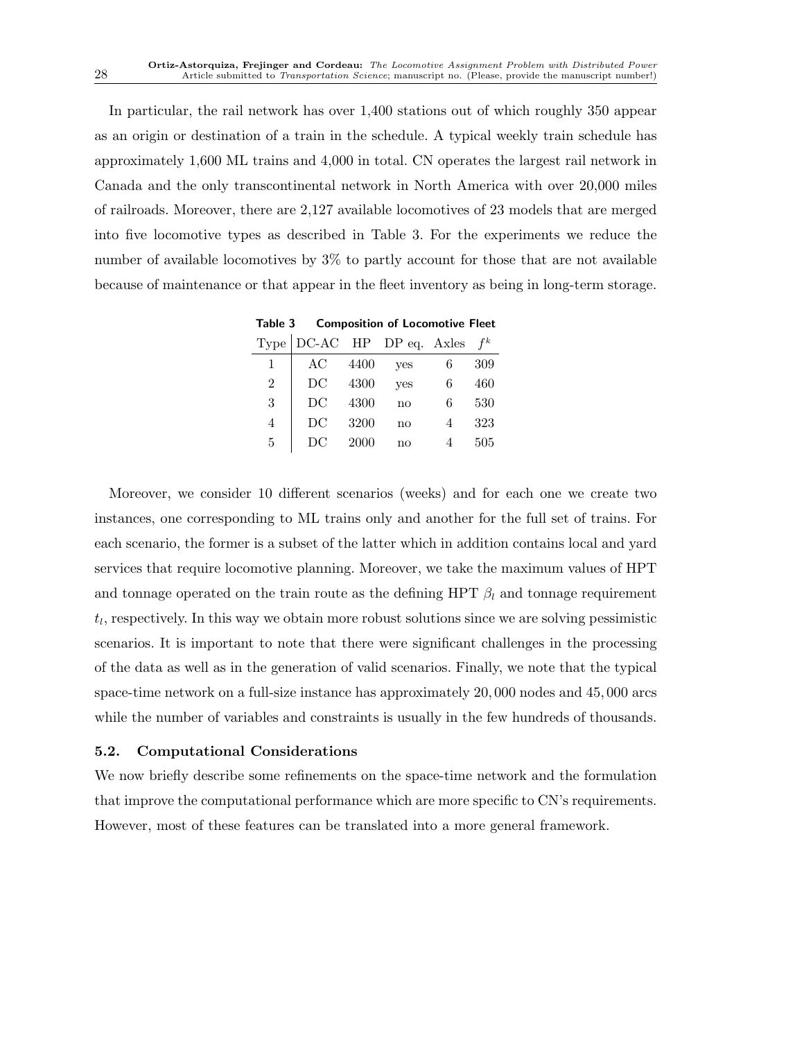In particular, the rail network has over 1,400 stations out of which roughly 350 appear as an origin or destination of a train in the schedule. A typical weekly train schedule has approximately 1,600 ML trains and 4,000 in total. CN operates the largest rail network in Canada and the only transcontinental network in North America with over 20,000 miles of railroads. Moreover, there are 2,127 available locomotives of 23 models that are merged into five locomotive types as described in Table 3. For the experiments we reduce the number of available locomotives by 3% to partly account for those that are not available because of maintenance or that appear in the fleet inventory as being in long-term storage.

|   | $Type   DC-AC$ HP DP eq. Axles |      |     |   | $f^k$ |
|---|--------------------------------|------|-----|---|-------|
| 1 | AC                             | 4400 | yes | 6 | 309   |
| 2 | DC                             | 4300 | yes | 6 | 460   |
| 3 | DC                             | 4300 | no  | 6 | 530   |
| 4 | DC                             | 3200 | no  |   | 323   |
| 5 | D()                            | 2000 | no  |   | 505   |

Table 3 Composition of Locomotive Fleet

Moreover, we consider 10 different scenarios (weeks) and for each one we create two instances, one corresponding to ML trains only and another for the full set of trains. For each scenario, the former is a subset of the latter which in addition contains local and yard services that require locomotive planning. Moreover, we take the maximum values of HPT and tonnage operated on the train route as the defining HPT  $\beta_l$  and tonnage requirement  $t_l$ , respectively. In this way we obtain more robust solutions since we are solving pessimistic scenarios. It is important to note that there were significant challenges in the processing of the data as well as in the generation of valid scenarios. Finally, we note that the typical space-time network on a full-size instance has approximately 20, 000 nodes and 45, 000 arcs while the number of variables and constraints is usually in the few hundreds of thousands.

## 5.2. Computational Considerations

We now briefly describe some refinements on the space-time network and the formulation that improve the computational performance which are more specific to CN's requirements. However, most of these features can be translated into a more general framework.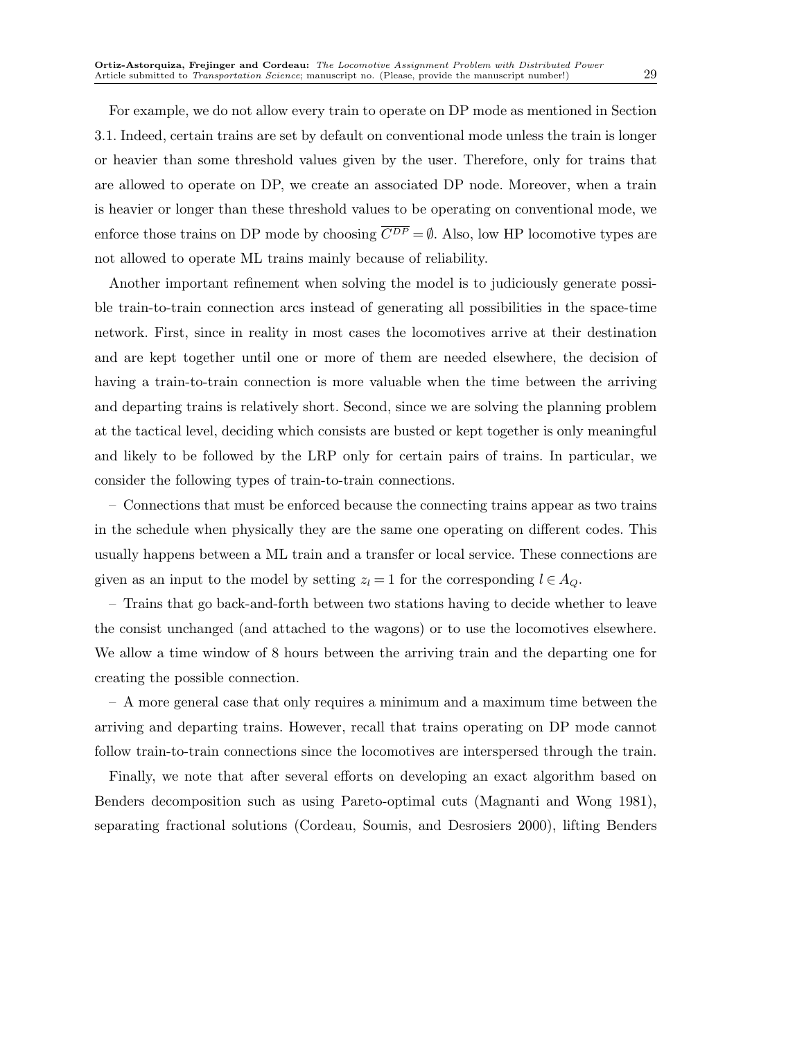For example, we do not allow every train to operate on DP mode as mentioned in Section 3.1. Indeed, certain trains are set by default on conventional mode unless the train is longer or heavier than some threshold values given by the user. Therefore, only for trains that are allowed to operate on DP, we create an associated DP node. Moreover, when a train is heavier or longer than these threshold values to be operating on conventional mode, we enforce those trains on DP mode by choosing  $\overline{C^{DP}} = \emptyset$ . Also, low HP locomotive types are not allowed to operate ML trains mainly because of reliability.

Another important refinement when solving the model is to judiciously generate possible train-to-train connection arcs instead of generating all possibilities in the space-time network. First, since in reality in most cases the locomotives arrive at their destination and are kept together until one or more of them are needed elsewhere, the decision of having a train-to-train connection is more valuable when the time between the arriving and departing trains is relatively short. Second, since we are solving the planning problem at the tactical level, deciding which consists are busted or kept together is only meaningful and likely to be followed by the LRP only for certain pairs of trains. In particular, we consider the following types of train-to-train connections.

– Connections that must be enforced because the connecting trains appear as two trains in the schedule when physically they are the same one operating on different codes. This usually happens between a ML train and a transfer or local service. These connections are given as an input to the model by setting  $z_l = 1$  for the corresponding  $l \in A_Q$ .

– Trains that go back-and-forth between two stations having to decide whether to leave the consist unchanged (and attached to the wagons) or to use the locomotives elsewhere. We allow a time window of 8 hours between the arriving train and the departing one for creating the possible connection.

– A more general case that only requires a minimum and a maximum time between the arriving and departing trains. However, recall that trains operating on DP mode cannot follow train-to-train connections since the locomotives are interspersed through the train.

Finally, we note that after several efforts on developing an exact algorithm based on Benders decomposition such as using Pareto-optimal cuts (Magnanti and Wong 1981), separating fractional solutions (Cordeau, Soumis, and Desrosiers 2000), lifting Benders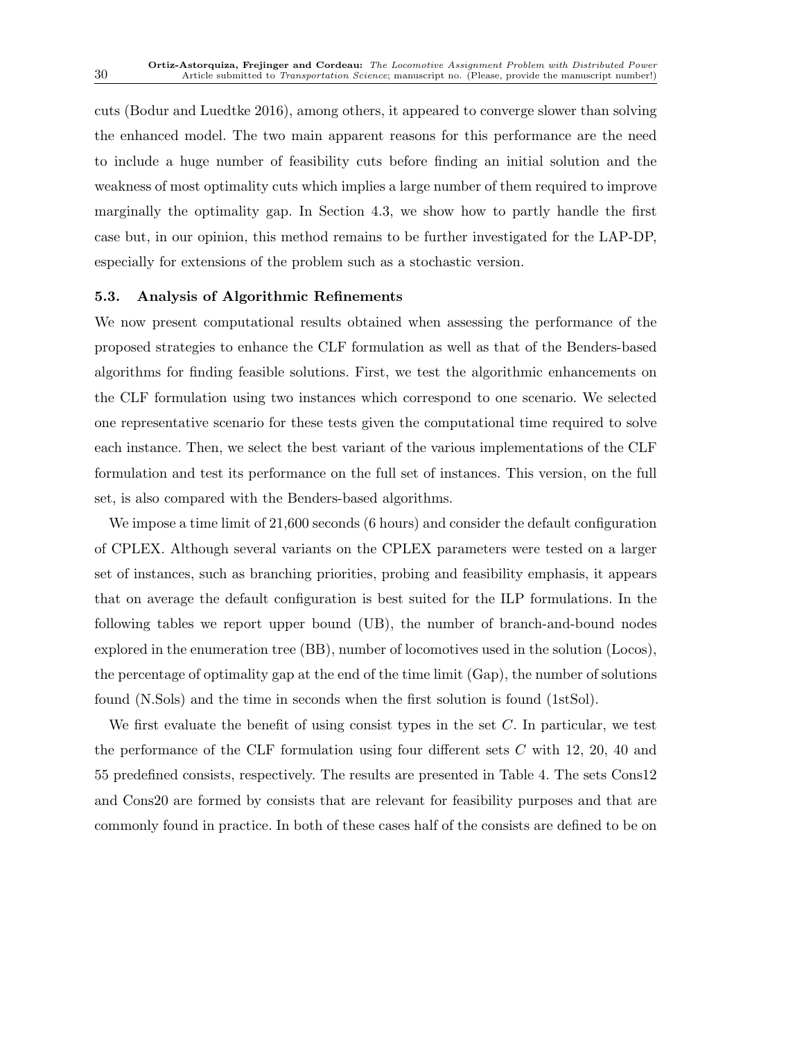cuts (Bodur and Luedtke 2016), among others, it appeared to converge slower than solving the enhanced model. The two main apparent reasons for this performance are the need to include a huge number of feasibility cuts before finding an initial solution and the weakness of most optimality cuts which implies a large number of them required to improve marginally the optimality gap. In Section 4.3, we show how to partly handle the first case but, in our opinion, this method remains to be further investigated for the LAP-DP, especially for extensions of the problem such as a stochastic version.

#### 5.3. Analysis of Algorithmic Refinements

We now present computational results obtained when assessing the performance of the proposed strategies to enhance the CLF formulation as well as that of the Benders-based algorithms for finding feasible solutions. First, we test the algorithmic enhancements on the CLF formulation using two instances which correspond to one scenario. We selected one representative scenario for these tests given the computational time required to solve each instance. Then, we select the best variant of the various implementations of the CLF formulation and test its performance on the full set of instances. This version, on the full set, is also compared with the Benders-based algorithms.

We impose a time limit of 21,600 seconds (6 hours) and consider the default configuration of CPLEX. Although several variants on the CPLEX parameters were tested on a larger set of instances, such as branching priorities, probing and feasibility emphasis, it appears that on average the default configuration is best suited for the ILP formulations. In the following tables we report upper bound (UB), the number of branch-and-bound nodes explored in the enumeration tree (BB), number of locomotives used in the solution (Locos), the percentage of optimality gap at the end of the time limit (Gap), the number of solutions found (N.Sols) and the time in seconds when the first solution is found (1stSol).

We first evaluate the benefit of using consist types in the set  $C$ . In particular, we test the performance of the CLF formulation using four different sets  $C$  with 12, 20, 40 and 55 predefined consists, respectively. The results are presented in Table 4. The sets Cons12 and Cons20 are formed by consists that are relevant for feasibility purposes and that are commonly found in practice. In both of these cases half of the consists are defined to be on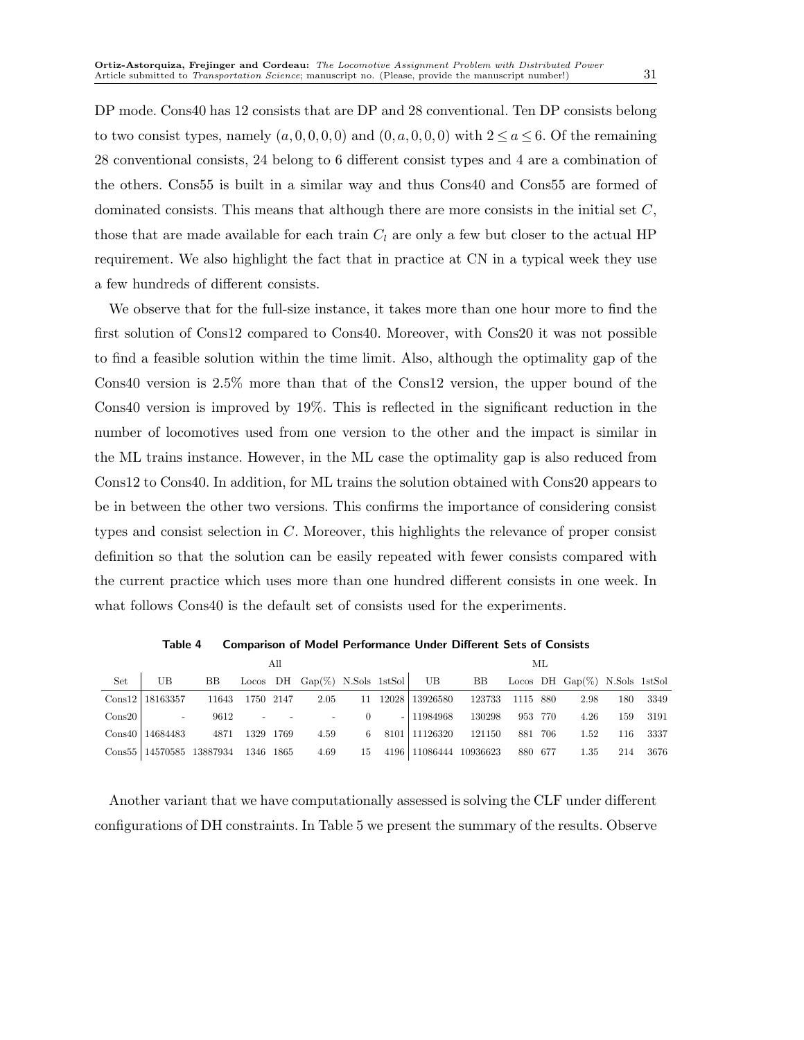DP mode. Cons40 has 12 consists that are DP and 28 conventional. Ten DP consists belong to two consist types, namely  $(a, 0, 0, 0, 0)$  and  $(0, a, 0, 0, 0)$  with  $2 \le a \le 6$ . Of the remaining 28 conventional consists, 24 belong to 6 different consist types and 4 are a combination of the others. Cons55 is built in a similar way and thus Cons40 and Cons55 are formed of dominated consists. This means that although there are more consists in the initial set C, those that are made available for each train  $C_l$  are only a few but closer to the actual HP requirement. We also highlight the fact that in practice at CN in a typical week they use a few hundreds of different consists.

We observe that for the full-size instance, it takes more than one hour more to find the first solution of Cons12 compared to Cons40. Moreover, with Cons20 it was not possible to find a feasible solution within the time limit. Also, although the optimality gap of the Cons40 version is 2.5% more than that of the Cons12 version, the upper bound of the Cons40 version is improved by 19%. This is reflected in the significant reduction in the number of locomotives used from one version to the other and the impact is similar in the ML trains instance. However, in the ML case the optimality gap is also reduced from Cons12 to Cons40. In addition, for ML trains the solution obtained with Cons20 appears to be in between the other two versions. This confirms the importance of considering consist types and consist selection in C. Moreover, this highlights the relevance of proper consist definition so that the solution can be easily repeated with fewer consists compared with the current practice which uses more than one hundred different consists in one week. In what follows Cons40 is the default set of consists used for the experiments.

|     |                                           | МL   |  |  |                                                                      |  |         |  |      |     |      |
|-----|-------------------------------------------|------|--|--|----------------------------------------------------------------------|--|---------|--|------|-----|------|
| Set | UB                                        |      |  |  | BB Locos DH Gap(%) N.Sols 1stSol UB BB Locos DH Gap(%) N.Sols 1stSol |  |         |  |      |     |      |
|     | Cons12   18163357                         |      |  |  | 11643 1750 2147 2.05 11 12028 13926580 123733 1115 880 2.98          |  |         |  |      | 180 | 3349 |
|     | $\text{Cons}20$ -                         |      |  |  | 9612 - - - 0 - 11984968 130298                                       |  | 953 770 |  | 4.26 | 159 | 3191 |
|     | Cons40   14684483                         | 4871 |  |  | 1329 1769 4.59 6 8101 11126320 121150                                |  | 881 706 |  | 1.52 | 116 | 3337 |
|     | Cons55   14570585 13887934 1346 1865 4.69 |      |  |  | 15 4196 11086444 10936623 880 677                                    |  |         |  | 1.35 | 214 | 3676 |

Table 4 Comparison of Model Performance Under Different Sets of Consists

Another variant that we have computationally assessed is solving the CLF under different configurations of DH constraints. In Table 5 we present the summary of the results. Observe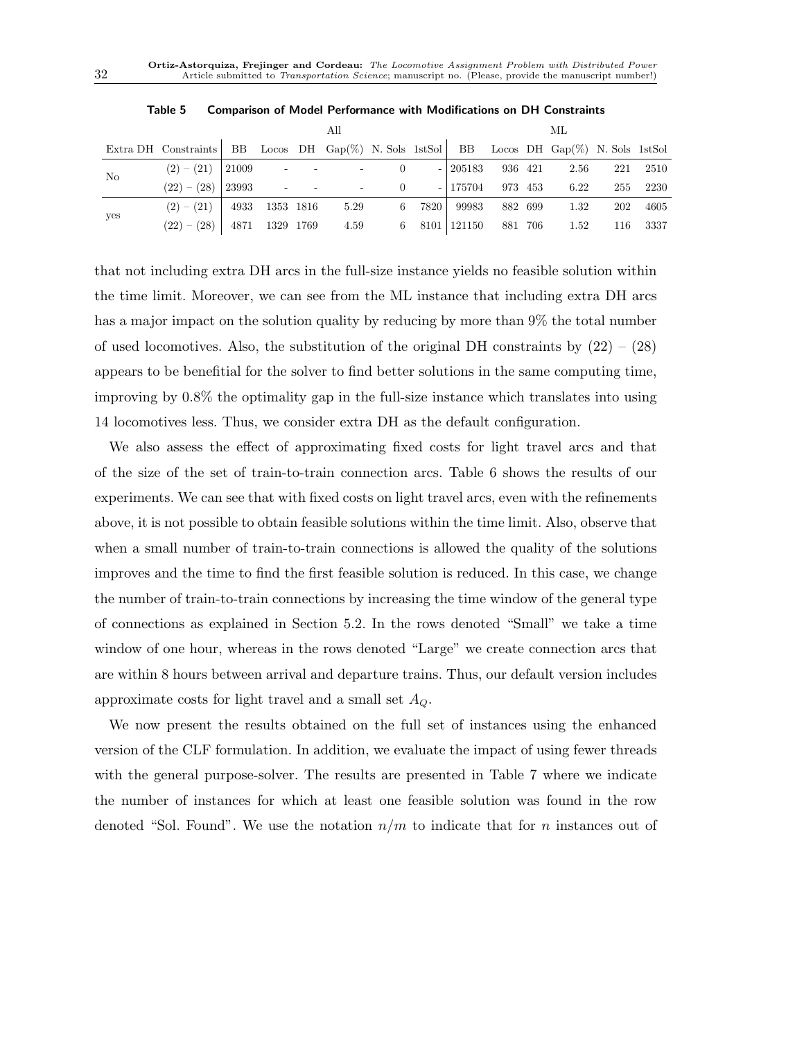|                | All                                                                                      |  |                |  |                 |  |        |          |         | МL |                                                 |     |          |  |  |
|----------------|------------------------------------------------------------------------------------------|--|----------------|--|-----------------|--|--------|----------|---------|----|-------------------------------------------------|-----|----------|--|--|
|                | Extra DH Constraints BB Locos DH Gap(%) N. Sols 1stSol BB Locos DH Gap(%) N. Sols 1stSol |  |                |  |                 |  |        |          |         |    |                                                 |     |          |  |  |
| N <sub>o</sub> | $(2) - (21)$ 21009 - - - 0                                                               |  |                |  |                 |  |        |          |         |    | $- 205183 \t 936 \t 421 \t 2.56 \t 221 \t 2510$ |     |          |  |  |
|                | $(22) - (28)$                                                                            |  |                |  | $23993$ - - - 0 |  |        | - 175704 | 973 453 |    | 6.22                                            |     | 255 2230 |  |  |
| yes            | $(2)-(21)$                                                                               |  | 4933 1353 1816 |  | 5.29            |  | 6 7820 |          |         |    | 99983 882 699 1.32                              | 202 | 4605     |  |  |
|                | $(22) - (28)$                                                                            |  | 4871 1329 1769 |  |                 |  |        |          |         |    | 4.59 6 8101 121150 881 706 1.52                 |     | 116 3337 |  |  |

|--|--|--|--|--|--|--|--|

that not including extra DH arcs in the full-size instance yields no feasible solution within the time limit. Moreover, we can see from the ML instance that including extra DH arcs has a major impact on the solution quality by reducing by more than 9% the total number of used locomotives. Also, the substitution of the original DH constraints by  $(22) - (28)$ appears to be benefitial for the solver to find better solutions in the same computing time, improving by 0.8% the optimality gap in the full-size instance which translates into using 14 locomotives less. Thus, we consider extra DH as the default configuration.

We also assess the effect of approximating fixed costs for light travel arcs and that of the size of the set of train-to-train connection arcs. Table 6 shows the results of our experiments. We can see that with fixed costs on light travel arcs, even with the refinements above, it is not possible to obtain feasible solutions within the time limit. Also, observe that when a small number of train-to-train connections is allowed the quality of the solutions improves and the time to find the first feasible solution is reduced. In this case, we change the number of train-to-train connections by increasing the time window of the general type of connections as explained in Section 5.2. In the rows denoted "Small" we take a time window of one hour, whereas in the rows denoted "Large" we create connection arcs that are within 8 hours between arrival and departure trains. Thus, our default version includes approximate costs for light travel and a small set  $A_Q$ .

We now present the results obtained on the full set of instances using the enhanced version of the CLF formulation. In addition, we evaluate the impact of using fewer threads with the general purpose-solver. The results are presented in Table 7 where we indicate the number of instances for which at least one feasible solution was found in the row denoted "Sol. Found". We use the notation  $n/m$  to indicate that for n instances out of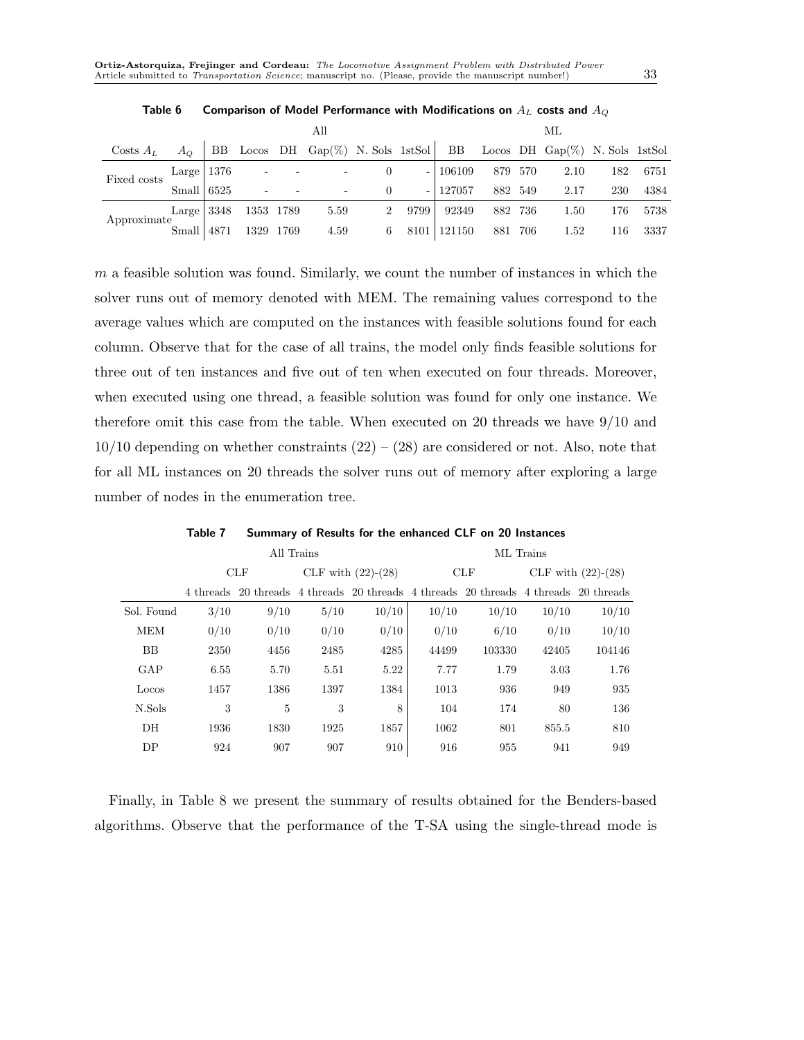|                                                                                       |                |      |                      | All                                                                                                      |             |      | МL        |     |         |      |     |      |
|---------------------------------------------------------------------------------------|----------------|------|----------------------|----------------------------------------------------------------------------------------------------------|-------------|------|-----------|-----|---------|------|-----|------|
| Costs $A_L$ $A_O$ BB Locos DH Gap(%) N. Sols 1stSol BB Locos DH Gap(%) N. Sols 1stSol |                |      |                      |                                                                                                          |             |      |           |     |         |      |     |      |
| Fixed costs                                                                           |                |      | Large $ 1376$ - -    |                                                                                                          |             |      | $-106109$ |     | 879 570 | 2.10 | 182 | 6751 |
|                                                                                       | Small $  6525$ |      |                      | $\mathcal{L}(\mathcal{L}^{\mathcal{L}})$ and $\mathcal{L}^{\mathcal{L}}$ and $\mathcal{L}^{\mathcal{L}}$ |             |      | $-127057$ |     | 882 549 | 2.17 | 230 | 4384 |
|                                                                                       |                |      | Large 3348 1353 1789 | 5.59                                                                                                     | $2^{\circ}$ | 9799 | 92349     |     | 882 736 | 1.50 | 176 | 5738 |
| Approximate                                                                           | Small          | 4871 | 1329 1769            | 4.59                                                                                                     | 6           | 8101 | 121150    | 881 | 706     | 1.52 | 116 | 3337 |

Table 6 Comparison of Model Performance with Modifications on  $A_L$  costs and  $A_O$ 

 $m$  a feasible solution was found. Similarly, we count the number of instances in which the solver runs out of memory denoted with MEM. The remaining values correspond to the average values which are computed on the instances with feasible solutions found for each column. Observe that for the case of all trains, the model only finds feasible solutions for three out of ten instances and five out of ten when executed on four threads. Moreover, when executed using one thread, a feasible solution was found for only one instance. We therefore omit this case from the table. When executed on 20 threads we have 9/10 and  $10/10$  depending on whether constraints  $(22) - (28)$  are considered or not. Also, note that for all ML instances on 20 threads the solver runs out of memory after exploring a large number of nodes in the enumeration tree.

|                  |      |      | All Trains |                                                                                     | ML Trains |        |                      |        |  |  |  |
|------------------|------|------|------------|-------------------------------------------------------------------------------------|-----------|--------|----------------------|--------|--|--|--|
|                  |      | CLF  |            | CLF with $(22)-(28)$                                                                |           | CLF    | CLF with $(22)-(28)$ |        |  |  |  |
|                  |      |      |            | 4 threads 20 threads 4 threads 20 threads 4 threads 20 threads 4 threads 20 threads |           |        |                      |        |  |  |  |
| Sol. Found       | 3/10 | 9/10 | 5/10       | 10/10                                                                               | 10/10     | 10/10  | 10/10                | 10/10  |  |  |  |
| <b>MEM</b>       | 0/10 | 0/10 | 0/10       | 0/10                                                                                | 0/10      | 6/10   | 0/10                 | 10/10  |  |  |  |
| BB               | 2350 | 4456 | 2485       | 4285                                                                                | 44499     | 103330 | 42405                | 104146 |  |  |  |
| GAP              | 6.55 | 5.70 | 5.51       | 5.22                                                                                | 7.77      | 1.79   | 3.03                 | 1.76   |  |  |  |
| Locos            | 1457 | 1386 | 1397       | 1384                                                                                | 1013      | 936    | 949                  | 935    |  |  |  |
| N.Sols           | 3    | 5    | 3          | 8                                                                                   | 104       | 174    | 80                   | 136    |  |  |  |
| $\overline{D}$ H | 1936 | 1830 | 1925       | 1857                                                                                | 1062      | 801    | 855.5                | 810    |  |  |  |
| DP               | 924  | 907  | 907        | 910                                                                                 | 916       | 955    | 941                  | 949    |  |  |  |

Table 7 Summary of Results for the enhanced CLF on 20 Instances

Finally, in Table 8 we present the summary of results obtained for the Benders-based algorithms. Observe that the performance of the T-SA using the single-thread mode is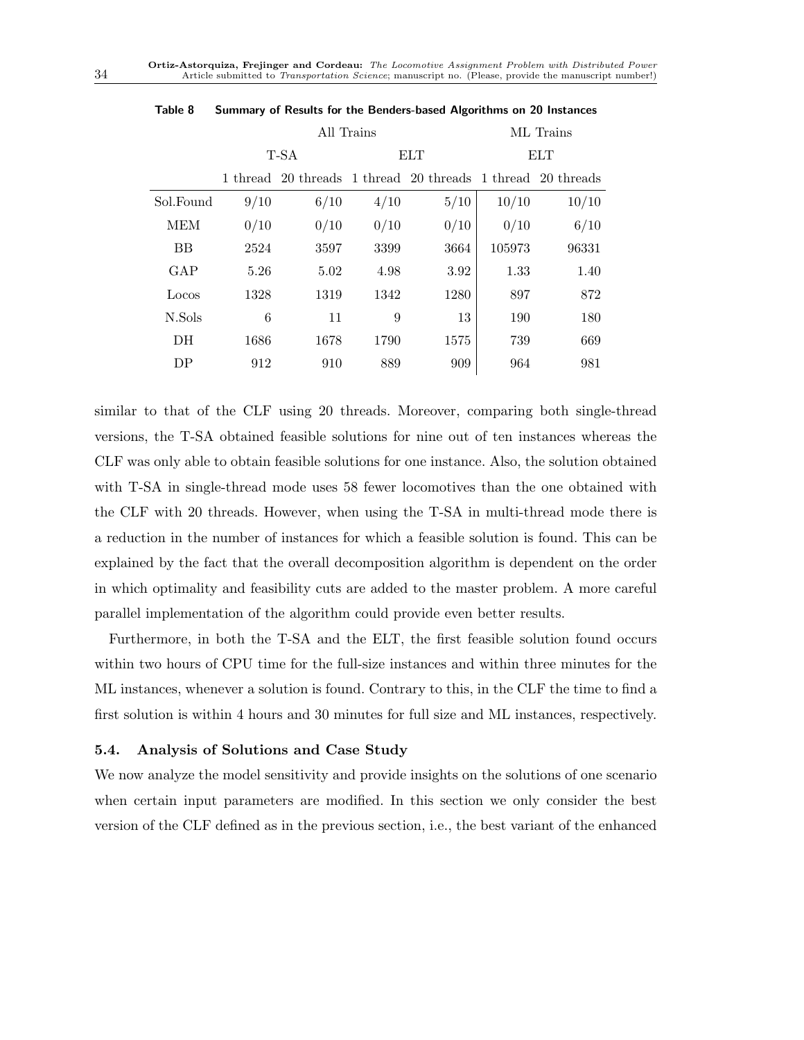|            |      | All Trains                                                  | ML Trains |            |        |       |  |
|------------|------|-------------------------------------------------------------|-----------|------------|--------|-------|--|
|            |      | T-SA                                                        |           | <b>ELT</b> | ELT    |       |  |
|            |      | 1 thread 20 threads 1 thread 20 threads 1 thread 20 threads |           |            |        |       |  |
| Sol.Found  | 9/10 | 6/10                                                        | 4/10      | 5/10       | 10/10  | 10/10 |  |
| <b>MEM</b> | 0/10 | 0/10                                                        | 0/10      | 0/10       | 0/10   | 6/10  |  |
| <b>BB</b>  | 2524 | 3597                                                        | 3399      | 3664       | 105973 | 96331 |  |
| GAP        | 5.26 | 5.02                                                        | 4.98      | 3.92       | 1.33   | 1.40  |  |
| Locos      | 1328 | 1319                                                        | 1342      | 1280       | 897    | 872   |  |
| N.Sols     | 6    | 11                                                          | 9         | 13         | 190    | 180   |  |
| DH         | 1686 | 1678                                                        | 1790      | 1575       | 739    | 669   |  |
| DP         | 912  | 910                                                         | 889       | 909        | 964    | 981   |  |

Table 8 Summary of Results for the Benders-based Algorithms on 20 Instances

similar to that of the CLF using 20 threads. Moreover, comparing both single-thread versions, the T-SA obtained feasible solutions for nine out of ten instances whereas the CLF was only able to obtain feasible solutions for one instance. Also, the solution obtained with T-SA in single-thread mode uses 58 fewer locomotives than the one obtained with the CLF with 20 threads. However, when using the T-SA in multi-thread mode there is a reduction in the number of instances for which a feasible solution is found. This can be explained by the fact that the overall decomposition algorithm is dependent on the order in which optimality and feasibility cuts are added to the master problem. A more careful parallel implementation of the algorithm could provide even better results.

Furthermore, in both the T-SA and the ELT, the first feasible solution found occurs within two hours of CPU time for the full-size instances and within three minutes for the ML instances, whenever a solution is found. Contrary to this, in the CLF the time to find a first solution is within 4 hours and 30 minutes for full size and ML instances, respectively.

## 5.4. Analysis of Solutions and Case Study

We now analyze the model sensitivity and provide insights on the solutions of one scenario when certain input parameters are modified. In this section we only consider the best version of the CLF defined as in the previous section, i.e., the best variant of the enhanced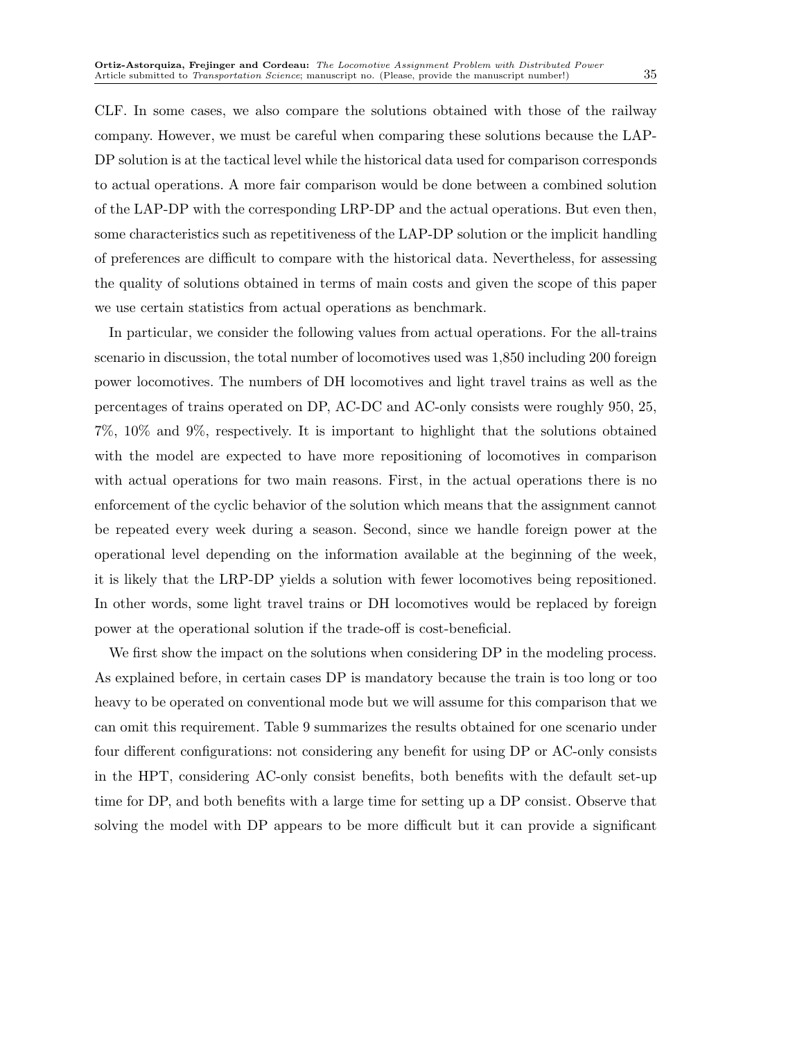CLF. In some cases, we also compare the solutions obtained with those of the railway company. However, we must be careful when comparing these solutions because the LAP-DP solution is at the tactical level while the historical data used for comparison corresponds to actual operations. A more fair comparison would be done between a combined solution of the LAP-DP with the corresponding LRP-DP and the actual operations. But even then, some characteristics such as repetitiveness of the LAP-DP solution or the implicit handling of preferences are difficult to compare with the historical data. Nevertheless, for assessing the quality of solutions obtained in terms of main costs and given the scope of this paper we use certain statistics from actual operations as benchmark.

In particular, we consider the following values from actual operations. For the all-trains scenario in discussion, the total number of locomotives used was 1,850 including 200 foreign power locomotives. The numbers of DH locomotives and light travel trains as well as the percentages of trains operated on DP, AC-DC and AC-only consists were roughly 950, 25, 7%, 10% and 9%, respectively. It is important to highlight that the solutions obtained with the model are expected to have more repositioning of locomotives in comparison with actual operations for two main reasons. First, in the actual operations there is no enforcement of the cyclic behavior of the solution which means that the assignment cannot be repeated every week during a season. Second, since we handle foreign power at the operational level depending on the information available at the beginning of the week, it is likely that the LRP-DP yields a solution with fewer locomotives being repositioned. In other words, some light travel trains or DH locomotives would be replaced by foreign power at the operational solution if the trade-off is cost-beneficial.

We first show the impact on the solutions when considering DP in the modeling process. As explained before, in certain cases DP is mandatory because the train is too long or too heavy to be operated on conventional mode but we will assume for this comparison that we can omit this requirement. Table 9 summarizes the results obtained for one scenario under four different configurations: not considering any benefit for using DP or AC-only consists in the HPT, considering AC-only consist benefits, both benefits with the default set-up time for DP, and both benefits with a large time for setting up a DP consist. Observe that solving the model with DP appears to be more difficult but it can provide a significant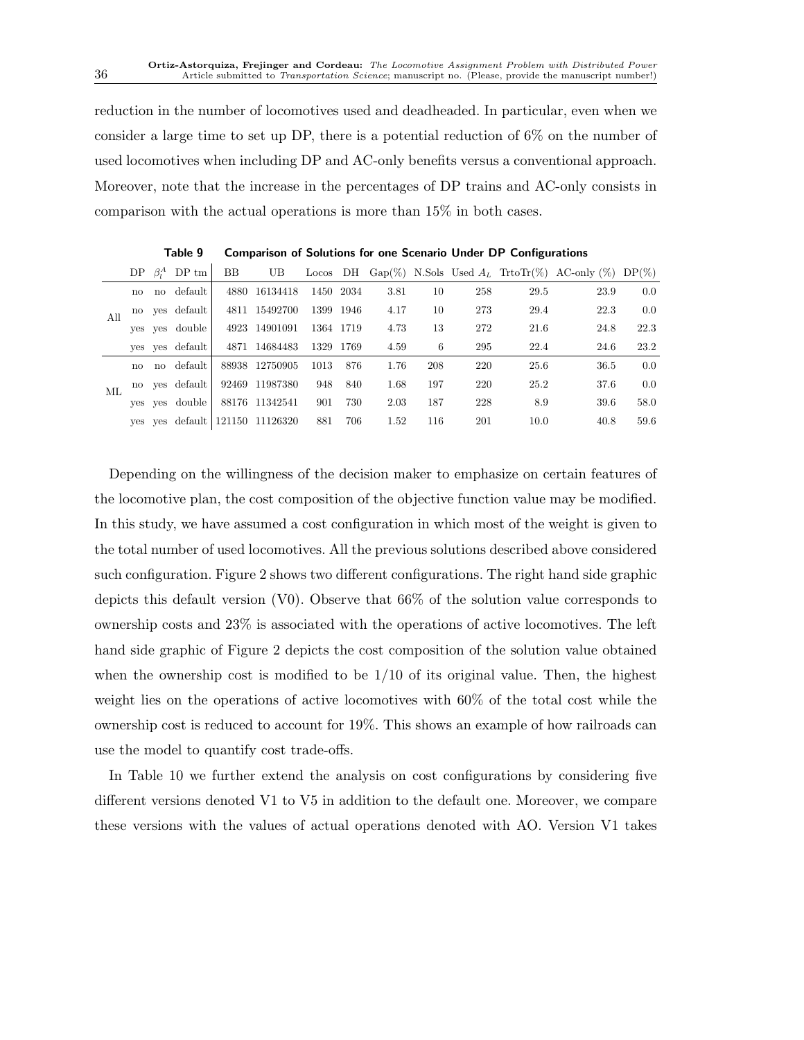reduction in the number of locomotives used and deadheaded. In particular, even when we consider a large time to set up DP, there is a potential reduction of 6% on the number of used locomotives when including DP and AC-only benefits versus a conventional approach. Moreover, note that the increase in the percentages of DP trains and AC-only consists in comparison with the actual operations is more than 15% in both cases.

|     |              | $DP \beta_i^A DP \text{tm}$ | BB. | UB                              |           |     |      |     |     |      | Locos DH Gap(%) N.Sols Used $A_L$ TrtoTr(%) AC-only (%) DP(%) |      |
|-----|--------------|-----------------------------|-----|---------------------------------|-----------|-----|------|-----|-----|------|---------------------------------------------------------------|------|
|     | $\mathbf{n}$ | no default                  |     | 4880 16134418                   | 1450 2034 |     | 3.81 | 10  | 258 | 29.5 | 23.9                                                          | 0.0  |
| All |              | no ves default              |     | 4811 15492700                   | 1399 1946 |     | 4.17 | 10  | 273 | 29.4 | 22.3                                                          | 0.0  |
|     |              | yes ves double              |     | 4923 14901091                   | 1364 1719 |     | 4.73 | 13  | 272 | 21.6 | 24.8                                                          | 22.3 |
|     |              | yes ves default             |     | 4871 14684483                   | 1329 1769 |     | 4.59 | 6   | 295 | 22.4 | 24.6                                                          | 23.2 |
|     | no           | no default                  |     | 88938 12750905                  | 1013      | 876 | 1.76 | 208 | 220 | 25.6 | 36.5                                                          | 0.0  |
| ML  |              | no yes default              |     | 92469 11987380                  | 948       | 840 | 1.68 | 197 | 220 | 25.2 | 37.6                                                          | 0.0  |
|     |              | yes ves double              |     | 88176 11342541                  | 901       | 730 | 2.03 | 187 | 228 | 8.9  | 39.6                                                          | 58.0 |
|     |              |                             |     | ves yes default 121150 11126320 | 881       | 706 | 1.52 | 116 | 201 | 10.0 | 40.8                                                          | 59.6 |

Table 9 Comparison of Solutions for one Scenario Under DP Configurations

Depending on the willingness of the decision maker to emphasize on certain features of the locomotive plan, the cost composition of the objective function value may be modified. In this study, we have assumed a cost configuration in which most of the weight is given to the total number of used locomotives. All the previous solutions described above considered such configuration. Figure 2 shows two different configurations. The right hand side graphic depicts this default version (V0). Observe that 66% of the solution value corresponds to ownership costs and 23% is associated with the operations of active locomotives. The left hand side graphic of Figure 2 depicts the cost composition of the solution value obtained when the ownership cost is modified to be  $1/10$  of its original value. Then, the highest weight lies on the operations of active locomotives with 60% of the total cost while the ownership cost is reduced to account for 19%. This shows an example of how railroads can use the model to quantify cost trade-offs.

In Table 10 we further extend the analysis on cost configurations by considering five different versions denoted V1 to V5 in addition to the default one. Moreover, we compare these versions with the values of actual operations denoted with AO. Version V1 takes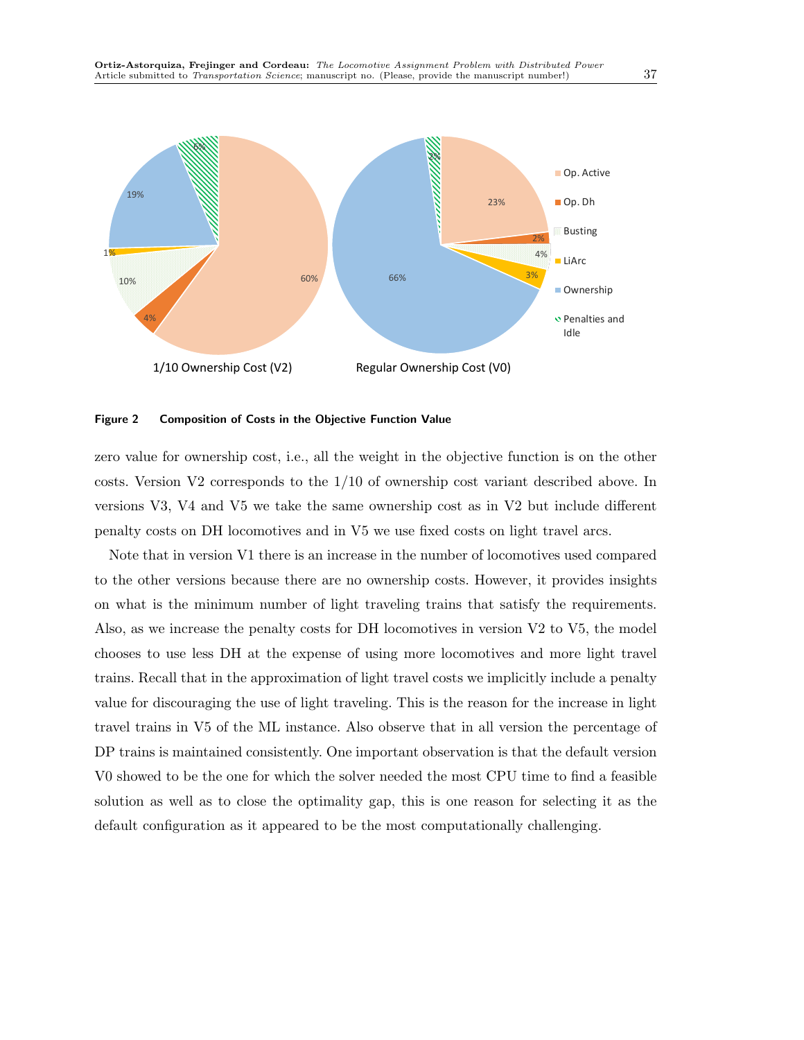

#### Figure 2 Composition of Costs in the Objective Function Value

zero value for ownership cost, i.e., all the weight in the objective function is on the other costs. Version V2 corresponds to the 1/10 of ownership cost variant described above. In versions V3, V4 and V5 we take the same ownership cost as in V2 but include different penalty costs on DH locomotives and in V5 we use fixed costs on light travel arcs.

Note that in version V1 there is an increase in the number of locomotives used compared to the other versions because there are no ownership costs. However, it provides insights on what is the minimum number of light traveling trains that satisfy the requirements. Also, as we increase the penalty costs for DH locomotives in version V2 to V5, the model chooses to use less DH at the expense of using more locomotives and more light travel trains. Recall that in the approximation of light travel costs we implicitly include a penalty value for discouraging the use of light traveling. This is the reason for the increase in light travel trains in V5 of the ML instance. Also observe that in all version the percentage of DP trains is maintained consistently. One important observation is that the default version V0 showed to be the one for which the solver needed the most CPU time to find a feasible solution as well as to close the optimality gap, this is one reason for selecting it as the default configuration as it appeared to be the most computationally challenging.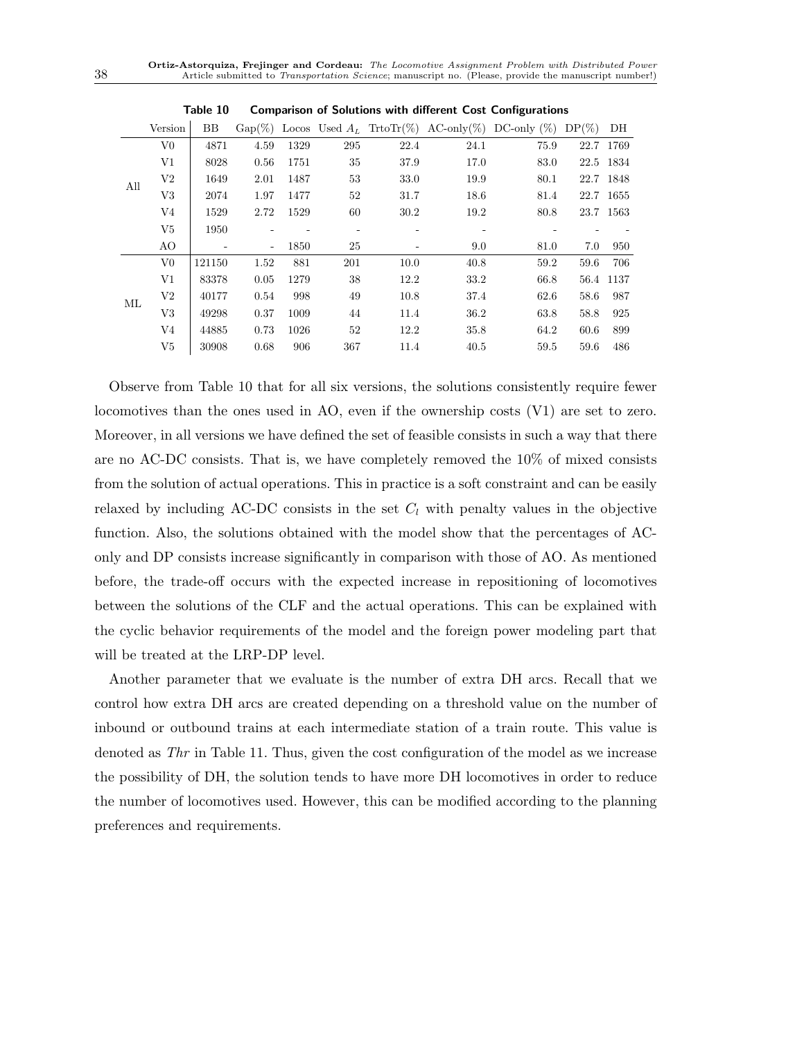| DH<br>$DP(\%)$ |
|----------------|
| 1769<br>22.7   |
| 22.5 1834      |
| 22.7 1848      |
| 22.7 1655      |
| 23.7 1563      |
|                |
| 950<br>7.0     |
| 59.6<br>706    |
| 56.4<br>1137   |
| 58.6<br>987    |
| 58.8<br>925    |
| 60.6<br>899    |
| 59.6<br>486    |
|                |

Table 10 Comparison of Solutions with different Cost Configurations

Observe from Table 10 that for all six versions, the solutions consistently require fewer locomotives than the ones used in AO, even if the ownership costs (V1) are set to zero. Moreover, in all versions we have defined the set of feasible consists in such a way that there are no AC-DC consists. That is, we have completely removed the 10% of mixed consists from the solution of actual operations. This in practice is a soft constraint and can be easily relaxed by including AC-DC consists in the set  $C_l$  with penalty values in the objective function. Also, the solutions obtained with the model show that the percentages of AConly and DP consists increase significantly in comparison with those of AO. As mentioned before, the trade-off occurs with the expected increase in repositioning of locomotives between the solutions of the CLF and the actual operations. This can be explained with the cyclic behavior requirements of the model and the foreign power modeling part that will be treated at the LRP-DP level.

Another parameter that we evaluate is the number of extra DH arcs. Recall that we control how extra DH arcs are created depending on a threshold value on the number of inbound or outbound trains at each intermediate station of a train route. This value is denoted as Thr in Table 11. Thus, given the cost configuration of the model as we increase the possibility of DH, the solution tends to have more DH locomotives in order to reduce the number of locomotives used. However, this can be modified according to the planning preferences and requirements.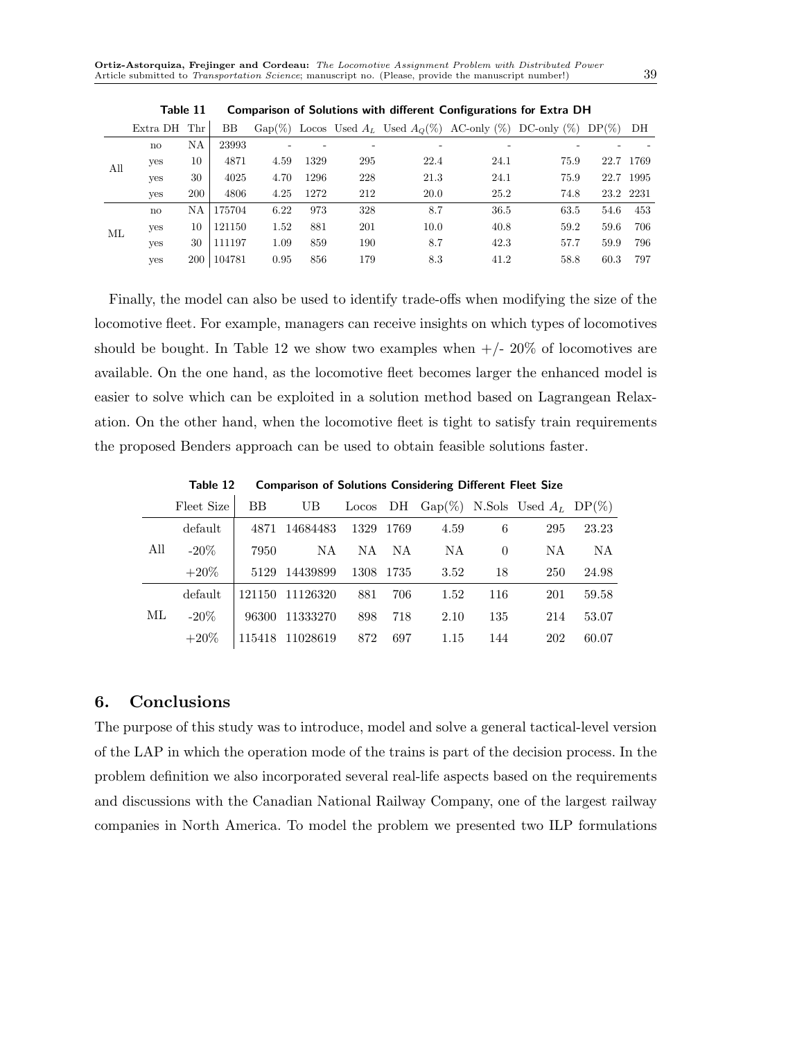|     | Extra DH Thr |     | BB     |      |      |     |      |      | Gap(%) Locos Used $A_L$ Used $A_O(\%)$ AC-only (%) DC-only (%) DP(%) |      | DH        |
|-----|--------------|-----|--------|------|------|-----|------|------|----------------------------------------------------------------------|------|-----------|
|     | $\mathbf{n}$ | NΑ  | 23993  |      |      |     |      |      |                                                                      |      |           |
| All | ves          | 10  | 4871   | 4.59 | 1329 | 295 | 22.4 | 24.1 | 75.9                                                                 |      | 22.7 1769 |
|     | ves          | 30  | 4025   | 4.70 | 1296 | 228 | 21.3 | 24.1 | 75.9                                                                 |      | 22.7 1995 |
|     | ves          | 200 | 4806   | 4.25 | 1272 | 212 | 20.0 | 25.2 | 74.8                                                                 |      | 23.2 2231 |
|     | $\mathbf{n}$ | ΝA  | 175704 | 6.22 | 973  | 328 | 8.7  | 36.5 | 63.5                                                                 | 54.6 | 453       |
| МL  | yes          | 10  | 121150 | 1.52 | 881  | 201 | 10.0 | 40.8 | 59.2                                                                 | 59.6 | 706       |
|     | ves          | 30  | 111197 | 1.09 | 859  | 190 | 8.7  | 42.3 | 57.7                                                                 | 59.9 | 796       |
|     | ves          | 200 | 104781 | 0.95 | 856  | 179 | 8.3  | 41.2 | 58.8                                                                 | 60.3 | 797       |

Table 11 Comparison of Solutions with different Configurations for Extra DH

Finally, the model can also be used to identify trade-offs when modifying the size of the locomotive fleet. For example, managers can receive insights on which types of locomotives should be bought. In Table 12 we show two examples when  $+/- 20\%$  of locomotives are available. On the one hand, as the locomotive fleet becomes larger the enhanced model is easier to solve which can be exploited in a solution method based on Lagrangean Relaxation. On the other hand, when the locomotive fleet is tight to satisfy train requirements the proposed Benders approach can be used to obtain feasible solutions faster.

Table 12 Comparison of Solutions Considering Different Fleet Size

|     | Fleet Size | <b>BB</b> | UB       |     |           |      |          | Locos DH Gap $(\%)$ N.Sols Used $A_L$ DP $(\%)$ |       |
|-----|------------|-----------|----------|-----|-----------|------|----------|-------------------------------------------------|-------|
| All | default    | 4871      | 14684483 |     | 1329 1769 | 4.59 | 6        | 295                                             | 23.23 |
|     | $-20\%$    | 7950      | NA.      | NA. | - NA      | NA   | $\Omega$ | NA.                                             | NA.   |
|     | $+20\%$    | 5129      | 14439899 |     | 1308 1735 | 3.52 | 18       | 250                                             | 24.98 |
| МL  | default    | 121150    | 11126320 | 881 | 706       | 1.52 | 116      | 201                                             | 59.58 |
|     | $-20\%$    | 96300     | 11333270 | 898 | 718       | 2.10 | 135      | 214                                             | 53.07 |
|     | $+20\%$    | 115418    | 11028619 | 872 | 697       | 1.15 | 144      | 202                                             | 60.07 |

# 6. Conclusions

The purpose of this study was to introduce, model and solve a general tactical-level version of the LAP in which the operation mode of the trains is part of the decision process. In the problem definition we also incorporated several real-life aspects based on the requirements and discussions with the Canadian National Railway Company, one of the largest railway companies in North America. To model the problem we presented two ILP formulations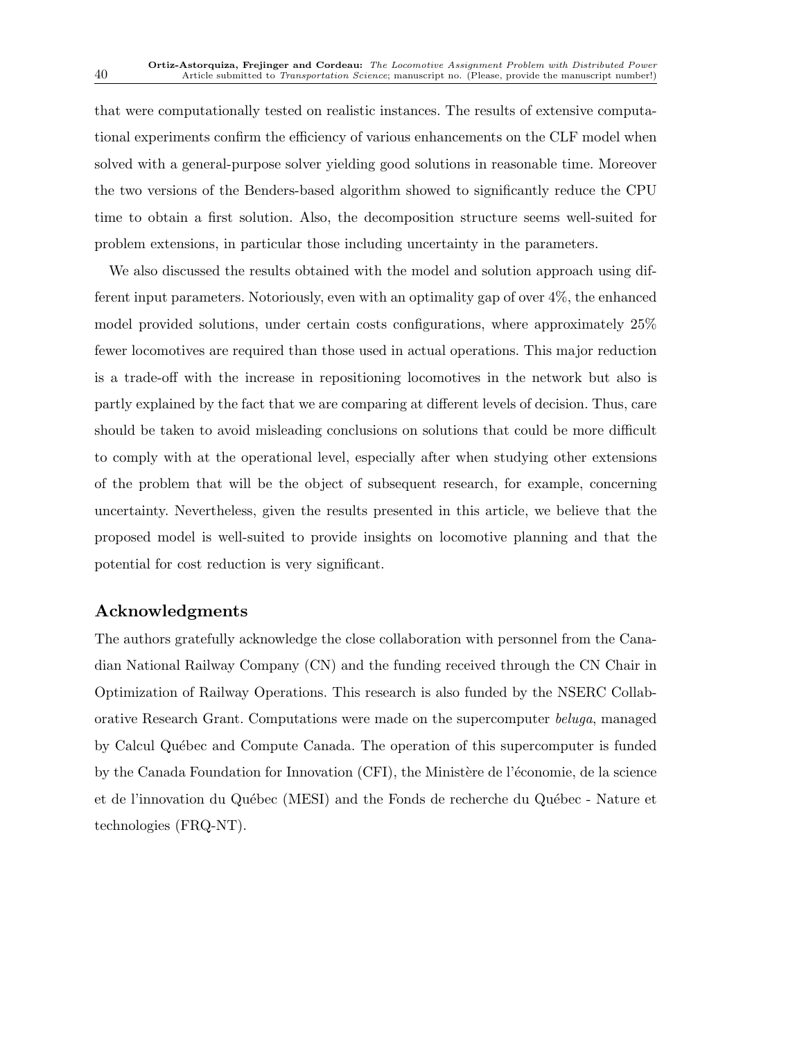that were computationally tested on realistic instances. The results of extensive computational experiments confirm the efficiency of various enhancements on the CLF model when solved with a general-purpose solver yielding good solutions in reasonable time. Moreover the two versions of the Benders-based algorithm showed to significantly reduce the CPU time to obtain a first solution. Also, the decomposition structure seems well-suited for problem extensions, in particular those including uncertainty in the parameters.

We also discussed the results obtained with the model and solution approach using different input parameters. Notoriously, even with an optimality gap of over 4%, the enhanced model provided solutions, under certain costs configurations, where approximately 25% fewer locomotives are required than those used in actual operations. This major reduction is a trade-off with the increase in repositioning locomotives in the network but also is partly explained by the fact that we are comparing at different levels of decision. Thus, care should be taken to avoid misleading conclusions on solutions that could be more difficult to comply with at the operational level, especially after when studying other extensions of the problem that will be the object of subsequent research, for example, concerning uncertainty. Nevertheless, given the results presented in this article, we believe that the proposed model is well-suited to provide insights on locomotive planning and that the potential for cost reduction is very significant.

# Acknowledgments

The authors gratefully acknowledge the close collaboration with personnel from the Canadian National Railway Company (CN) and the funding received through the CN Chair in Optimization of Railway Operations. This research is also funded by the NSERC Collaborative Research Grant. Computations were made on the supercomputer beluga, managed by Calcul Qu´ebec and Compute Canada. The operation of this supercomputer is funded by the Canada Foundation for Innovation (CFI), the Ministère de l'économie, de la science et de l'innovation du Québec (MESI) and the Fonds de recherche du Québec - Nature et technologies (FRQ-NT).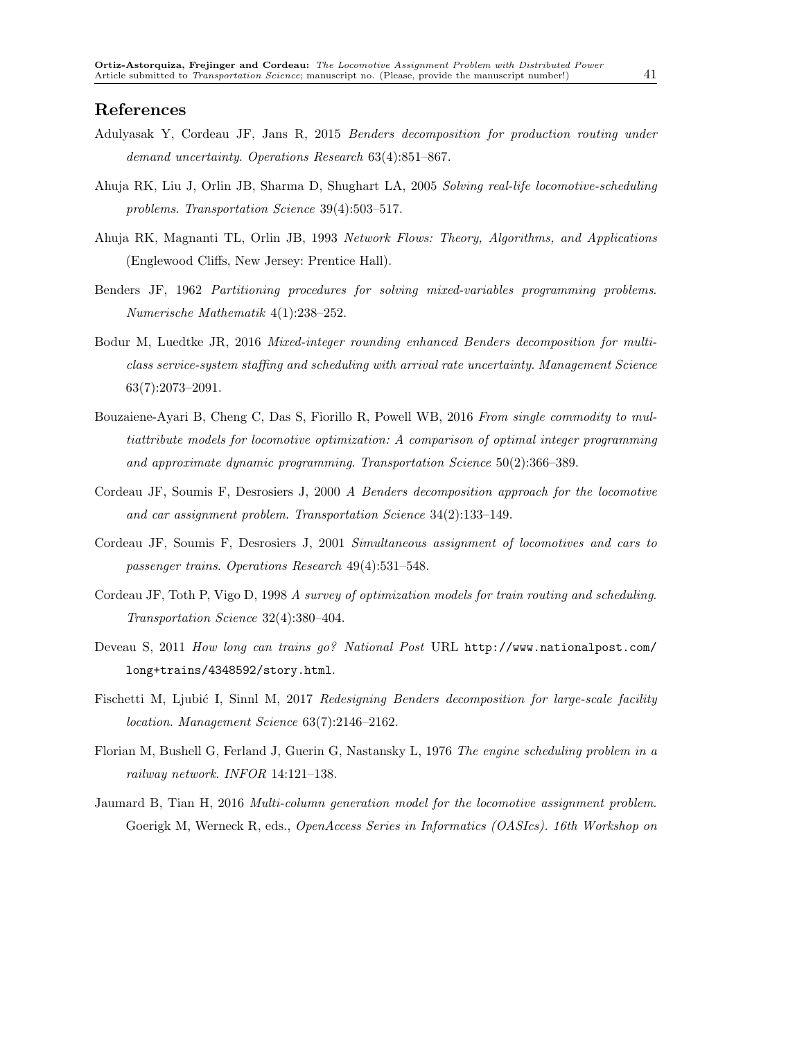# References

- Adulyasak Y, Cordeau JF, Jans R, 2015 Benders decomposition for production routing under demand uncertainty. Operations Research 63(4):851–867.
- Ahuja RK, Liu J, Orlin JB, Sharma D, Shughart LA, 2005 Solving real-life locomotive-scheduling problems. Transportation Science 39(4):503–517.
- Ahuja RK, Magnanti TL, Orlin JB, 1993 Network Flows: Theory, Algorithms, and Applications (Englewood Cliffs, New Jersey: Prentice Hall).
- Benders JF, 1962 Partitioning procedures for solving mixed-variables programming problems. Numerische Mathematik 4(1):238–252.
- Bodur M, Luedtke JR, 2016 Mixed-integer rounding enhanced Benders decomposition for multiclass service-system staffing and scheduling with arrival rate uncertainty. Management Science 63(7):2073–2091.
- Bouzaiene-Ayari B, Cheng C, Das S, Fiorillo R, Powell WB, 2016 From single commodity to multiattribute models for locomotive optimization: A comparison of optimal integer programming and approximate dynamic programming. Transportation Science 50(2):366–389.
- Cordeau JF, Soumis F, Desrosiers J, 2000 A Benders decomposition approach for the locomotive and car assignment problem. Transportation Science 34(2):133–149.
- Cordeau JF, Soumis F, Desrosiers J, 2001 Simultaneous assignment of locomotives and cars to passenger trains. Operations Research 49(4):531–548.
- Cordeau JF, Toth P, Vigo D, 1998 A survey of optimization models for train routing and scheduling. Transportation Science 32(4):380–404.
- Deveau S, 2011 How long can trains go? National Post URL http://www.nationalpost.com/ long+trains/4348592/story.html.
- Fischetti M, Ljubić I, Sinnl M, 2017 Redesigning Benders decomposition for large-scale facility location. Management Science 63(7):2146–2162.
- Florian M, Bushell G, Ferland J, Guerin G, Nastansky L, 1976 The engine scheduling problem in a railway network. INFOR 14:121–138.
- Jaumard B, Tian H, 2016 Multi-column generation model for the locomotive assignment problem. Goerigk M, Werneck R, eds., *OpenAccess Series in Informatics (OASIcs)*. 16th Workshop on